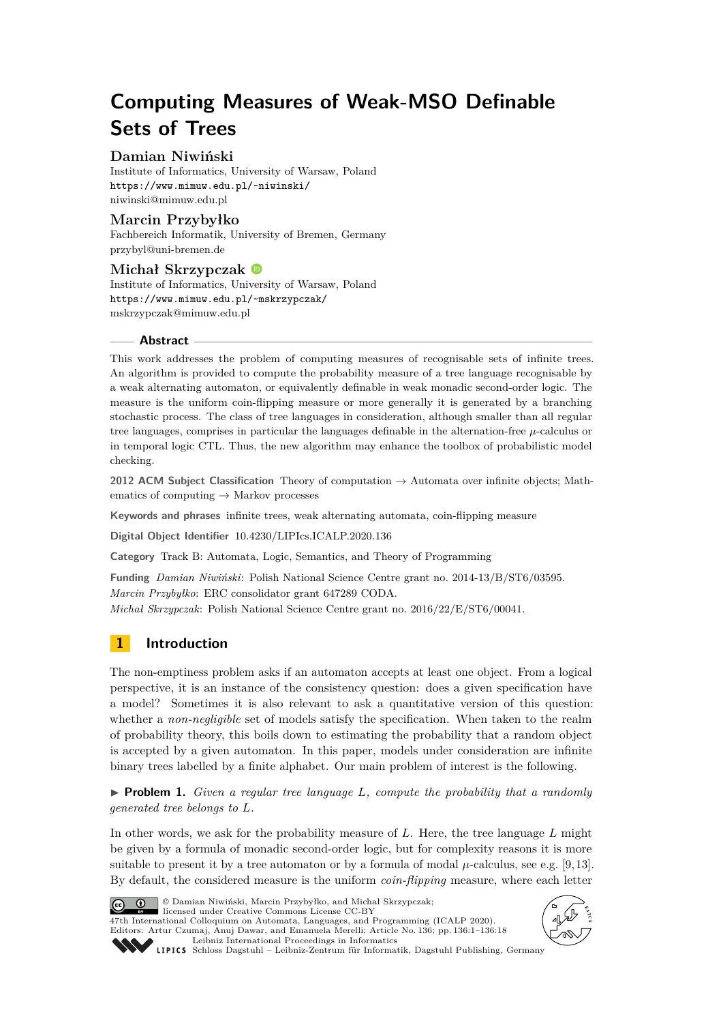# **Computing Measures of Weak-MSO Definable Sets of Trees**

# **Damian Niwiński**

Institute of Informatics, University of Warsaw, Poland <https://www.mimuw.edu.pl/~niwinski/> [niwinski@mimuw.edu.pl](mailto:niwinski@mimuw.edu.pl)

# **Marcin Przybyłko**

Fachbereich Informatik, University of Bremen, Germany [przybyl@uni-bremen.de](mailto:przybyl@uni-bremen.de)

# **Michał Skrzypczak**

Institute of Informatics, University of Warsaw, Poland <https://www.mimuw.edu.pl/~mskrzypczak/> [mskrzypczak@mimuw.edu.pl](mailto:mskrzypczak@mimuw.edu.pl)

# **Abstract**

This work addresses the problem of computing measures of recognisable sets of infinite trees. An algorithm is provided to compute the probability measure of a tree language recognisable by a weak alternating automaton, or equivalently definable in weak monadic second-order logic. The measure is the uniform coin-flipping measure or more generally it is generated by a branching stochastic process. The class of tree languages in consideration, although smaller than all regular tree languages, comprises in particular the languages definable in the alternation-free *µ*-calculus or in temporal logic CTL. Thus, the new algorithm may enhance the toolbox of probabilistic model checking.

**2012 ACM Subject Classification** Theory of computation → Automata over infinite objects; Mathematics of computing  $\rightarrow$  Markov processes

**Keywords and phrases** infinite trees, weak alternating automata, coin-flipping measure

**Digital Object Identifier** [10.4230/LIPIcs.ICALP.2020.136](https://doi.org/10.4230/LIPIcs.ICALP.2020.136)

**Category** Track B: Automata, Logic, Semantics, and Theory of Programming

**Funding** *Damian Niwiński*: Polish National Science Centre grant no. 2014-13/B/ST6/03595. *Marcin Przybyłko*: ERC consolidator grant 647289 CODA.

*Michał Skrzypczak*: Polish National Science Centre grant no. 2016/22/E/ST6/00041.

# **1 Introduction**

The non-emptiness problem asks if an automaton accepts at least one object. From a logical perspective, it is an instance of the consistency question: does a given specification have a model? Sometimes it is also relevant to ask a quantitative version of this question: whether a *non-negligible* set of models satisfy the specification. When taken to the realm of probability theory, this boils down to estimating the probability that a random object is accepted by a given automaton. In this paper, models under consideration are infinite binary trees labelled by a finite alphabet. Our main problem of interest is the following.

<span id="page-0-0"></span>▶ **Problem 1.** *Given a regular tree language L, compute the probability that a randomly generated tree belongs to L.*

In other words, we ask for the probability measure of *L*. Here, the tree language *L* might be given by a formula of monadic second-order logic, but for complexity reasons it is more suitable to present it by a tree automaton or by a formula of modal  $\mu$ -calculus, see e.g. [\[9,](#page-17-0)13]. By default, the considered measure is the uniform *coin-flipping* measure, where each letter



© Damian Niwiński, Marcin Przybyłko, and Michał Skrzypczak; licensed under Creative Commons License CC-BY

47th International Colloquium on Automata, Languages, and Programming (ICALP 2020). Editors: Artur Czumaj, Anuj Dawar, and Emanuela Merelli; Article No. 136; pp. 136:1–136[:18](#page-17-2) [Leibniz International Proceedings in Informatics](https://www.dagstuhl.de/lipics/)



[Schloss Dagstuhl – Leibniz-Zentrum für Informatik, Dagstuhl Publishing, Germany](https://www.dagstuhl.de)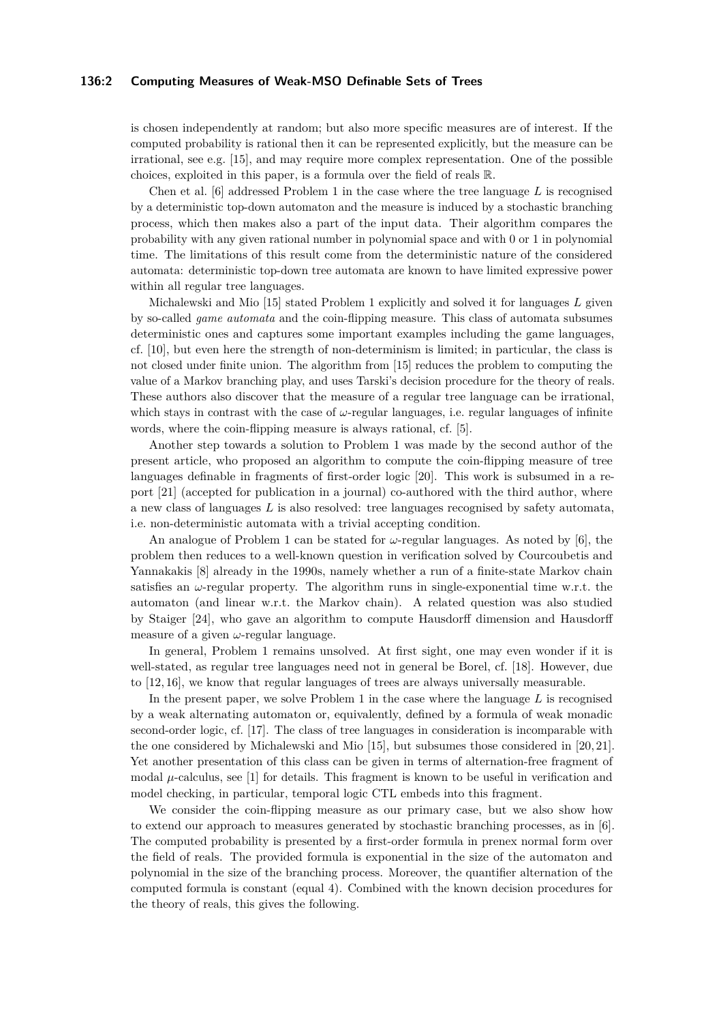# **136:2 Computing Measures of Weak-MSO Definable Sets of Trees**

is chosen independently at random; but also more specific measures are of interest. If the computed probability is rational then it can be represented explicitly, but the measure can be irrational, see e.g. [\[15\]](#page-17-3), and may require more complex representation. One of the possible choices, exploited in this paper, is a formula over the field of reals R.

Chen et al. [\[6\]](#page-17-4) addressed Problem [1](#page-0-0) in the case where the tree language *L* is recognised by a deterministic top-down automaton and the measure is induced by a stochastic branching process, which then makes also a part of the input data. Their algorithm compares the probability with any given rational number in polynomial space and with 0 or 1 in polynomial time. The limitations of this result come from the deterministic nature of the considered automata: deterministic top-down tree automata are known to have limited expressive power within all regular tree languages.

Michalewski and Mio [\[15\]](#page-17-3) stated Problem [1](#page-0-0) explicitly and solved it for languages *L* given by so-called *game automata* and the coin-flipping measure. This class of automata subsumes deterministic ones and captures some important examples including the game languages, cf. [\[10\]](#page-17-5), but even here the strength of non-determinism is limited; in particular, the class is not closed under finite union. The algorithm from [\[15\]](#page-17-3) reduces the problem to computing the value of a Markov branching play, and uses Tarski's decision procedure for the theory of reals. These authors also discover that the measure of a regular tree language can be irrational, which stays in contrast with the case of  $\omega$ -regular languages, i.e. regular languages of infinite words, where the coin-flipping measure is always rational, cf. [\[5\]](#page-17-6).

Another step towards a solution to Problem [1](#page-0-0) was made by the second author of the present article, who proposed an algorithm to compute the coin-flipping measure of tree languages definable in fragments of first-order logic [\[20\]](#page-17-7). This work is subsumed in a report [\[21\]](#page-17-8) (accepted for publication in a journal) co-authored with the third author, where a new class of languages *L* is also resolved: tree languages recognised by safety automata, i.e. non-deterministic automata with a trivial accepting condition.

An analogue of Problem [1](#page-0-0) can be stated for *ω*-regular languages. As noted by [\[6\]](#page-17-4), the problem then reduces to a well-known question in verification solved by Courcoubetis and Yannakakis [\[8\]](#page-17-9) already in the 1990s, namely whether a run of a finite-state Markov chain satisfies an  $\omega$ -regular property. The algorithm runs in single-exponential time w.r.t. the automaton (and linear w.r.t. the Markov chain). A related question was also studied by Staiger [\[24\]](#page-17-10), who gave an algorithm to compute Hausdorff dimension and Hausdorff measure of a given *ω*-regular language.

In general, Problem [1](#page-0-0) remains unsolved. At first sight, one may even wonder if it is well-stated, as regular tree languages need not in general be Borel, cf. [\[18\]](#page-17-11). However, due to [\[12,](#page-17-12) [16\]](#page-17-13), we know that regular languages of trees are always universally measurable.

In the present paper, we solve Problem [1](#page-0-0) in the case where the language *L* is recognised by a weak alternating automaton or, equivalently, defined by a formula of weak monadic second-order logic, cf. [\[17\]](#page-17-14). The class of tree languages in consideration is incomparable with the one considered by Michalewski and Mio [\[15\]](#page-17-3), but subsumes those considered in [\[20,](#page-17-7) [21\]](#page-17-8). Yet another presentation of this class can be given in terms of alternation-free fragment of modal  $\mu$ -calculus, see [\[1\]](#page-16-0) for details. This fragment is known to be useful in verification and model checking, in particular, temporal logic CTL embeds into this fragment.

<span id="page-1-0"></span>We consider the coin-flipping measure as our primary case, but we also show how to extend our approach to measures generated by stochastic branching processes, as in [\[6\]](#page-17-4). The computed probability is presented by a first-order formula in prenex normal form over the field of reals. The provided formula is exponential in the size of the automaton and polynomial in the size of the branching process. Moreover, the quantifier alternation of the computed formula is constant (equal 4). Combined with the known decision procedures for the theory of reals, this gives the following.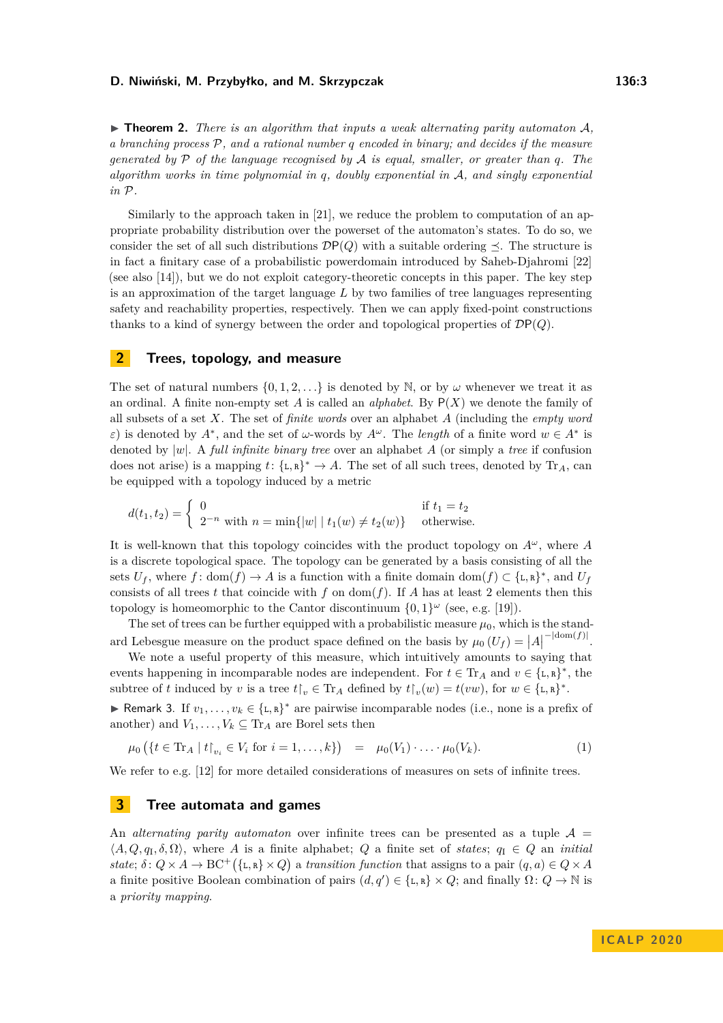$\triangleright$  **Theorem 2.** *There is an algorithm that inputs a weak alternating parity automaton* A, *a branching process* P*, and a rational number q encoded in binary; and decides if the measure generated by* P *of the language recognised by* A *is equal, smaller, or greater than q. The algorithm works in time polynomial in q, doubly exponential in* A*, and singly exponential in* P*.*

Similarly to the approach taken in [\[21\]](#page-17-8), we reduce the problem to computation of an appropriate probability distribution over the powerset of the automaton's states. To do so, we consider the set of all such distributions  $\mathcal{D}P(Q)$  with a suitable ordering  $\preceq$ . The structure is in fact a finitary case of a probabilistic powerdomain introduced by Saheb-Djahromi [\[22\]](#page-17-15) (see also [\[14\]](#page-17-16)), but we do not exploit category-theoretic concepts in this paper. The key step is an approximation of the target language *L* by two families of tree languages representing safety and reachability properties, respectively. Then we can apply fixed-point constructions thanks to a kind of synergy between the order and topological properties of DP(*Q*).

# <span id="page-2-0"></span>**2 Trees, topology, and measure**

The set of natural numbers  $\{0, 1, 2, \ldots\}$  is denoted by N, or by  $\omega$  whenever we treat it as an ordinal. A finite non-empty set *A* is called an *alphabet*. By P(*X*) we denote the family of all subsets of a set *X*. The set of *finite words* over an alphabet *A* (including the *empty word ε*) is denoted by  $A^*$ , and the set of *ω*-words by  $A^{\omega}$ . The *length* of a finite word  $w \in A^*$  is denoted by |*w*|. A *full infinite binary tree* over an alphabet *A* (or simply a *tree* if confusion does not arise) is a mapping  $t: \{\text{\text{L}}, \text{\text{R}}\}^* \to A$ . The set of all such trees, denoted by  $\text{Tr}_A$ , can be equipped with a topology induced by a metric

$$
d(t_1, t_2) = \begin{cases} 0 & \text{if } t_1 = t_2 \\ 2^{-n} & \text{with } n = \min\{|w| \mid t_1(w) \neq t_2(w)\} & \text{otherwise.} \end{cases}
$$

It is well-known that this topology coincides with the product topology on  $A^{\omega}$ , where *A* is a discrete topological space. The topology can be generated by a basis consisting of all the sets  $U_f$ , where  $f: dom(f) \to A$  is a function with a finite domain dom $(f) \subset \{\text{\texttt{L}}, \text{\texttt{R}}\}^*$ , and  $U_f$ consists of all trees t that coincide with f on dom( $f$ ). If A has at least 2 elements then this topology is homeomorphic to the Cantor discontinuum  $\{0,1\}^\omega$  (see, e.g. [\[19\]](#page-17-17)).

The set of trees can be further equipped with a probabilistic measure  $\mu_0$ , which is the standard Lebesgue measure on the product space defined on the basis by  $\mu_0(U_f) = |A|$ −|dom(*f*)| .

We note a useful property of this measure, which intuitively amounts to saying that events happening in incomparable nodes are independent. For  $t \in \mathrm{Tr}_A$  and  $v \in \{\mathsf{L},\mathsf{R}\}^*$ , the subtree of *t* induced by *v* is a tree  $t\upharpoonright_v \in \text{Tr}_A$  defined by  $t\upharpoonright_v(w) = t(vw)$ , for  $w \in {\{\text{I},\text{R}\}}^*$ .

<span id="page-2-1"></span>► Remark 3. If  $v_1, \ldots, v_k \in \{\text{L}, \text{R}\}^*$  are pairwise incomparable nodes (i.e., none is a prefix of another) and  $V_1, \ldots, V_k \subseteq \text{Tr}_A$  are Borel sets then

$$
\mu_0 \left( \{ t \in \text{Tr}_A \mid t \, | \, v_i \in V_i \text{ for } i = 1, \dots, k \} \right) = \mu_0(V_1) \cdot \dots \cdot \mu_0(V_k). \tag{1}
$$

We refer to e.g. [\[12\]](#page-17-12) for more detailed considerations of measures on sets of infinite trees.

# **3 Tree automata and games**

An *alternating parity automaton* over infinite trees can be presented as a tuple  $A =$  $\langle A, Q, q_I, \delta, \Omega \rangle$ , where *A* is a finite alphabet; *Q* a finite set of *states*;  $q_I \in Q$  an *initial state*;  $\delta: Q \times A \to BC^+(\{\text{L}, \text{R}\} \times Q)$  a *transition function* that assigns to a pair  $(q, a) \in Q \times A$ a finite positive Boolean combination of pairs  $(d, q') \in \{L, R\} \times Q$ ; and finally  $\Omega: Q \to \mathbb{N}$  is a *priority mapping*.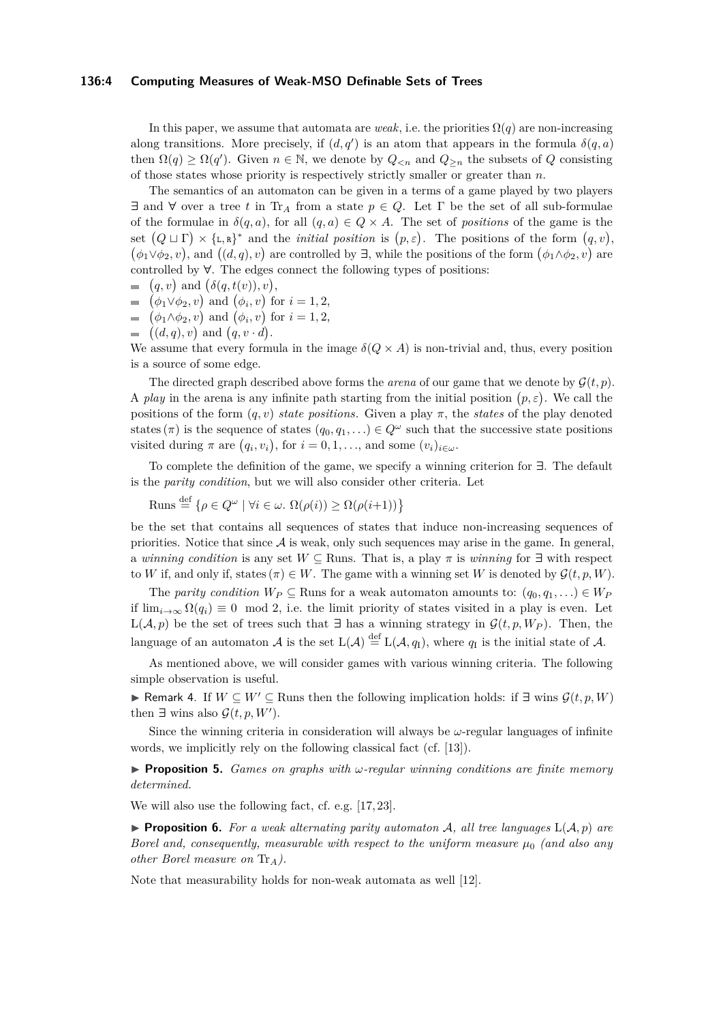## **136:4 Computing Measures of Weak-MSO Definable Sets of Trees**

In this paper, we assume that automata are *weak*, i.e. the priorities  $\Omega(q)$  are non-increasing along transitions. More precisely, if  $(d, q')$  is an atom that appears in the formula  $\delta(q, a)$ then  $\Omega(q) \geq \Omega(q')$ . Given  $n \in \mathbb{N}$ , we denote by  $Q_{\leq n}$  and  $Q_{\geq n}$  the subsets of *Q* consisting of those states whose priority is respectively strictly smaller or greater than *n*.

The semantics of an automaton can be given in a terms of a game played by two players **∃** and **∀** over a tree *t* in Tr*<sup>A</sup>* from a state *p* ∈ *Q*. Let Γ be the set of all sub-formulae of the formulae in  $\delta(q, a)$ , for all  $(q, a) \in Q \times A$ . The set of *positions* of the game is the set  $(Q \sqcup \Gamma) \times \{L, R\}^*$  and the *initial position* is  $(p, \varepsilon)$ . The positions of the form  $(q, v)$ ,  $(\phi_1 \lor \phi_2, v)$ , and  $((d, q), v)$  are controlled by  $\exists$ , while the positions of the form  $(\phi_1 \land \phi_2, v)$  are controlled by **∀**. The edges connect the following types of positions:

$$
= (q, v) \text{ and } (\delta(q, t(v)), v),
$$

- $(\phi_1 \lor \phi_2, v)$  and  $(\phi_i, v)$  for  $i = 1, 2$ ,
- $(\phi_1 \land \phi_2, v)$  and  $(\phi_i, v)$  for  $i = 1, 2$ ,
- $((d, q), v)$  and  $(q, v \cdot d)$ .

We assume that every formula in the image  $\delta(Q \times A)$  is non-trivial and, thus, every position is a source of some edge.

The directed graph described above forms the *arena* of our game that we denote by  $G(t, p)$ . A *play* in the arena is any infinite path starting from the initial position  $(p, \varepsilon)$ . We call the positions of the form  $(q, v)$  *state positions*. Given a play  $\pi$ , the *states* of the play denoted states ( $\pi$ ) is the sequence of states  $(q_0, q_1, \ldots) \in Q^{\omega}$  such that the successive state positions visited during  $\pi$  are  $(q_i, v_i)$ , for  $i = 0, 1, \ldots$ , and some  $(v_i)_{i \in \omega}$ .

To complete the definition of the game, we specify a winning criterion for **∃**. The default is the *parity condition*, but we will also consider other criteria. Let

 $\text{Runs} \stackrel{\text{def}}{=} \{ \rho \in Q^{\omega} \mid \forall i \in \omega \colon \Omega(\rho(i)) \geq \Omega(\rho(i+1)) \}$ 

be the set that contains all sequences of states that induce non-increasing sequences of priorities. Notice that since  $A$  is weak, only such sequences may arise in the game. In general, a *winning condition* is any set  $W \subseteq$  Runs. That is, a play  $\pi$  is *winning* for  $\exists$  with respect to *W* if, and only if, states  $(\pi) \in W$ . The game with a winning set *W* is denoted by  $\mathcal{G}(t, p, W)$ .

The *parity condition*  $W_P \subseteq$  Runs for a weak automaton amounts to:  $(q_0, q_1, \ldots) \in W_P$ if  $\lim_{i\to\infty} \Omega(q_i) \equiv 0 \mod 2$ , i.e. the limit priority of states visited in a play is even. Let L( $\mathcal{A}, p$ ) be the set of trees such that **∃** has a winning strategy in  $\mathcal{G}(t, p, W_P)$ . Then, then language of an automaton A is the set  $L(\mathcal{A}) \stackrel{\text{def}}{=} L(\mathcal{A}, q_I)$ , where  $q_I$  is the initial state of A.

As mentioned above, we will consider games with various winning criteria. The following simple observation is useful.

<span id="page-3-0"></span>**► Remark 4.** If  $W \subseteq W' \subseteq \text{Runs then the following implication holds: if  $\exists$  wins  $\mathcal{G}(t, p, W)$$ then  $\exists$  wins also  $\mathcal{G}(t, p, W')$ .

Since the winning criteria in consideration will always be  $\omega$ -regular languages of infinite words, we implicitly rely on the following classical fact (cf. [\[13\]](#page-17-1)).

<span id="page-3-1"></span>I **Proposition 5.** *Games on graphs with ω-regular winning conditions are finite memory determined.*

We will also use the following fact, cf. e.g. [\[17,](#page-17-14) [23\]](#page-17-18).

<span id="page-3-2"></span>**Proposition 6.** For a weak alternating parity automaton A, all tree languages  $L(A, p)$  are *Borel and, consequently, measurable with respect to the uniform measure µ*<sup>0</sup> *(and also any other Borel measure on* Tr*A).*

Note that measurability holds for non-weak automata as well [\[12\]](#page-17-12).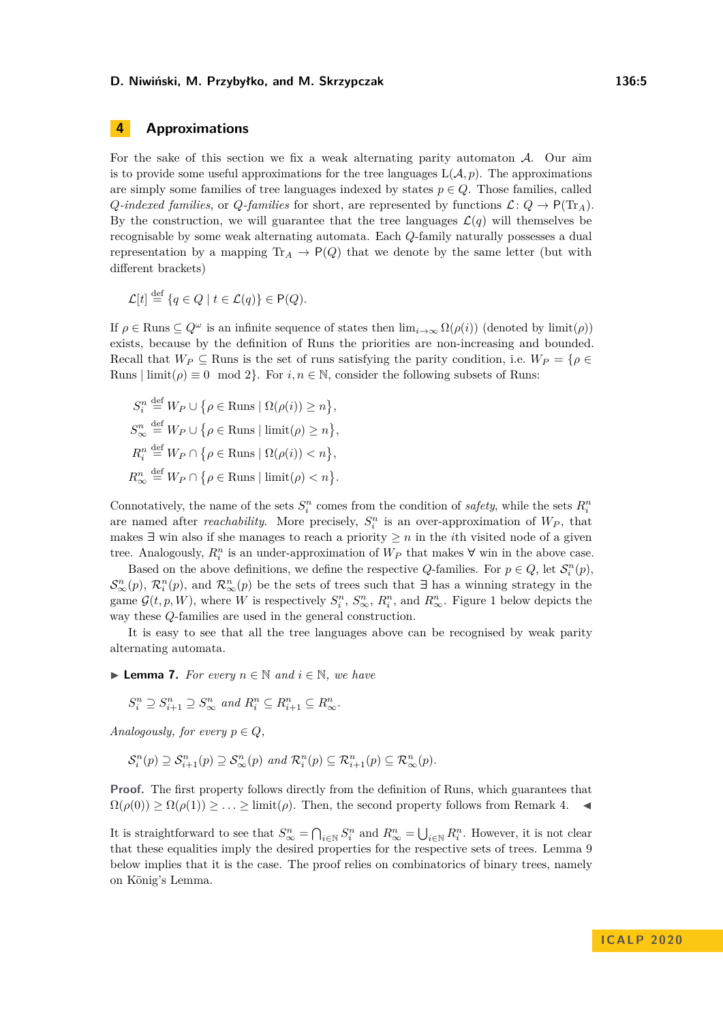# **4 Approximations**

For the sake of this section we fix a weak alternating parity automaton  $A$ . Our aim is to provide some useful approximations for the tree languages  $L(\mathcal{A}, p)$ . The approximations are simply some families of tree languages indexed by states  $p \in Q$ . Those families, called *Q-indexed families*, or *Q-families* for short, are represented by functions  $\mathcal{L}: Q \to P(\text{Tr}_A)$ . By the construction, we will guarantee that the tree languages  $\mathcal{L}(q)$  will themselves be recognisable by some weak alternating automata. Each *Q*-family naturally possesses a dual representation by a mapping  $\text{Tr}_A \rightarrow \text{P}(Q)$  that we denote by the same letter (but with different brackets)

$$
\mathcal{L}[t] \stackrel{\text{def}}{=} \{q \in Q \mid t \in \mathcal{L}(q)\} \in \mathsf{P}(Q).
$$

If  $\rho \in \text{Runs} \subseteq Q^{\omega}$  is an infinite sequence of states then  $\lim_{i\to\infty} \Omega(\rho(i))$  (denoted by  $\liminf(\rho)$ ) exists, because by the definition of Runs the priorities are non-increasing and bounded. Recall that  $W_P \subseteq$  Runs is the set of runs satisfying the parity condition, i.e.  $W_P = \{ \rho \in$ Runs  $|\text{limit}(\rho) \equiv 0 \mod 2$ . For  $i, n \in \mathbb{N}$ , consider the following subsets of Runs:

 $S_i^n \stackrel{\text{def}}{=} W_P \cup \{ \rho \in \text{Runs} \mid \Omega(\rho(i)) \geq n \},$  $S^n_{\infty} \stackrel{\text{def}}{=} W_P \cup \{ \rho \in \text{Runs} \mid \text{limit}(\rho) \geq n \},$  $R_i^n \stackrel{\text{def}}{=} W_P \cap \{ \rho \in \text{Runs} \mid \Omega(\rho(i)) \leq n \},$  $R^n_{\infty} \stackrel{\text{def}}{=} W_P \cap \{ \rho \in \text{Runs} \mid \text{limit}(\rho) < n \}.$ 

Connotatively, the name of the sets  $S_i^n$  comes from the condition of *safety*, while the sets  $R_i^n$ are named after *reachability*. More precisely,  $S_i^n$  is an over-approximation of  $W_P$ , that makes **∃** win also if she manages to reach a priority  $\geq n$  in the *i*th visited node of a given tree. Analogously,  $R_i^n$  is an under-approximation of  $W_P$  that makes  $\forall$  win in the above case.

Based on the above definitions, we define the respective *Q*-families. For  $p \in Q$ , let  $\mathcal{S}_i^n(p)$ ,  $\mathcal{S}_{\infty}^n(p)$ ,  $\mathcal{R}_i^n(p)$ , and  $\mathcal{R}_{\infty}^n(p)$  be the sets of trees such that  $\exists$  has a winning strategy in the game  $\mathcal{G}(t, p, W)$ , where *W* is respectively  $S_i^n$ ,  $S_{\infty}^n$ ,  $R_i^n$ , and  $R_{\infty}^n$ . Figure [1](#page-7-0) below depicts the way these *Q*-families are used in the general construction.

It is easy to see that all the tree languages above can be recognised by weak parity alternating automata.

<span id="page-4-1"></span>**► Lemma 7.** For every  $n \in \mathbb{N}$  and  $i \in \mathbb{N}$ , we have

 $S_i^n \supseteq S_{i+1}^n \supseteq S_{\infty}^n$  and  $R_i^n \subseteq R_{i+1}^n \subseteq R_{\infty}^n$ .

*Analogously, for every*  $p \in Q$ *,* 

$$
\mathcal{S}_i^n(p) \supseteq \mathcal{S}_{i+1}^n(p) \supseteq \mathcal{S}_{\infty}^n(p) \text{ and } \mathcal{R}_i^n(p) \subseteq \mathcal{R}_{i+1}^n(p) \subseteq \mathcal{R}_{\infty}^n(p).
$$

**Proof.** The first property follows directly from the definition of Runs, which guarantees that  $\Omega(\rho(0)) \geq \Omega(\rho(1)) \geq \ldots \geq \lim_{\epsilon \to 0} f(\epsilon)$ . Then, the second property follows from Remark [4.](#page-3-0)

<span id="page-4-0"></span>It is straightforward to see that  $S_{\infty}^n = \bigcap_{i \in \mathbb{N}} S_i^n$  and  $R_{\infty}^n = \bigcup_{i \in \mathbb{N}} R_i^n$ . However, it is not clear that these equalities imply the desired properties for the respective sets of trees. Lemma [9](#page-5-0) below implies that it is the case. The proof relies on combinatorics of binary trees, namely on König's Lemma.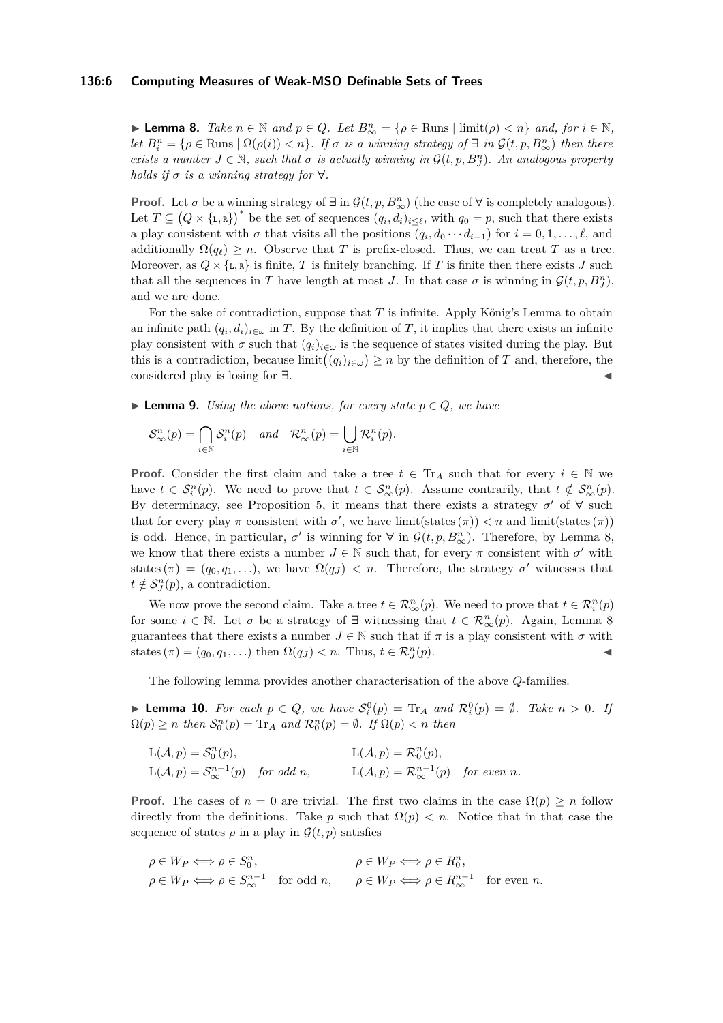## **136:6 Computing Measures of Weak-MSO Definable Sets of Trees**

► **Lemma 8.** *Take*  $n \in \mathbb{N}$  *and*  $p \in Q$ *. Let*  $B_{\infty}^n = \{ \rho \in \text{Runs } | \text{ limit}(\rho) < n \}$  *and, for*  $i \in \mathbb{N}$ *, let*  $B_i^n = \{ \rho \in \text{Runs} \mid \Omega(\rho(i)) < n \}$ *. If*  $\sigma$  *is a winning strategy of*  $\exists$  *in*  $\mathcal{G}(t, p, B_{\infty}^n)$  *then there exists a number*  $J \in \mathbb{N}$ *, such that*  $\sigma$  *is actually winning in*  $\mathcal{G}(t, p, B_J^n)$ *. An analogous property holds if*  $\sigma$  *is a winning strategy for*  $\forall$ *.* 

**Proof.** Let  $\sigma$  be a winning strategy of  $\exists$  in  $\mathcal{G}(t, p, B_{\infty}^n)$  (the case of  $\forall$  is completely analogous). Let  $T \subseteq (Q \times \{\mathsf{L}, \mathsf{R}\})^*$  be the set of sequences  $(q_i, d_i)_{i \leq \ell}$ , with  $q_0 = p$ , such that there exists a play consistent with  $\sigma$  that visits all the positions  $(q_i, d_0 \cdots d_{i-1})$  for  $i = 0, 1, \ldots, \ell$ , and additionally  $\Omega(q_{\ell}) \geq n$ . Observe that *T* is prefix-closed. Thus, we can treat *T* as a tree. Moreover, as  $Q \times \{L, R\}$  is finite, *T* is finitely branching. If *T* is finite then there exists *J* such that all the sequences in *T* have length at most *J*. In that case  $\sigma$  is winning in  $\mathcal{G}(t, p, B_{J}^{n})$ , and we are done.

For the sake of contradiction, suppose that *T* is infinite. Apply König's Lemma to obtain an infinite path  $(q_i, d_i)_{i \in \omega}$  in *T*. By the definition of *T*, it implies that there exists an infinite play consistent with  $\sigma$  such that  $(q_i)_{i \in \omega}$  is the sequence of states visited during the play. But this is a contradiction, because  $\lim_{i \to \infty} ((q_i)_{i \in \omega}) \geq n$  by the definition of *T* and, therefore, the considered play is losing for **∃**.

<span id="page-5-0"></span>**► Lemma 9.** *Using the above notions, for every state*  $p \in Q$ *, we have* 

$$
\mathcal{S}^n_{\infty}(p) = \bigcap_{i \in \mathbb{N}} \mathcal{S}_i^n(p) \quad and \quad \mathcal{R}^n_{\infty}(p) = \bigcup_{i \in \mathbb{N}} \mathcal{R}_i^n(p).
$$

**Proof.** Consider the first claim and take a tree  $t \in$  Tr<sub>A</sub> such that for every  $i \in \mathbb{N}$  we have  $t \in S_i^n(p)$ . We need to prove that  $t \in S_\infty^n(p)$ . Assume contrarily, that  $t \notin S_\infty^n(p)$ . By determinacy, see Proposition [5,](#page-3-1) it means that there exists a strategy  $\sigma'$  of  $\forall$  such that for every play  $\pi$  consistent with  $\sigma'$ , we have limit(states( $\pi$ ))  $\lt n$  and limit(states( $\pi$ )) is odd. Hence, in particular,  $\sigma'$  is winning for  $\forall$  in  $\mathcal{G}(t, p, B_{\infty}^n)$ . Therefore, by Lemma [8,](#page-4-0) we know that there exists a number  $J \in \mathbb{N}$  such that, for every  $\pi$  consistent with  $\sigma'$  with states  $(\pi) = (q_0, q_1, \ldots)$ , we have  $\Omega(q_J) < n$ . Therefore, the strategy  $\sigma'$  witnesses that  $t \notin \mathcal{S}_{J}^{n}(p)$ , a contradiction.

We now prove the second claim. Take a tree  $t \in \mathcal{R}_{\infty}^n(p)$ . We need to prove that  $t \in \mathcal{R}_i^n(p)$ for some  $i \in \mathbb{N}$ . Let  $\sigma$  be a strategy of  $\exists$  witnessing that  $t \in \mathcal{R}_{\infty}^n(p)$ . Again, Lemma [8](#page-4-0) guarantees that there exists a number  $J \in \mathbb{N}$  such that if  $\pi$  is a play consistent with  $\sigma$  with states  $(\pi) = (q_0, q_1, \ldots)$  then  $\Omega(q_J) < n$ . Thus,  $t \in \mathcal{R}_J^n$  $(p).$ 

The following lemma provides another characterisation of the above *Q*-families.

<span id="page-5-1"></span>**Example 10.** For each  $p \in Q$ , we have  $S_i^0(p) = \text{Tr}_A$  and  $\mathcal{R}_i^0(p) = \emptyset$ . Take  $n > 0$ . If  $\Omega(p) \ge n$  *then*  $\mathcal{S}_0^n(p) = \text{Tr}_A$  *and*  $\mathcal{R}_0^n(p) = \emptyset$ *. If*  $\Omega(p) < n$  *then* 

$$
L(\mathcal{A}, p) = \mathcal{S}_0^n(p),
$$
  
\n
$$
L(\mathcal{A}, p) = \mathcal{R}_0^n(p),
$$
  
\n
$$
L(\mathcal{A}, p) = \mathcal{R}_\infty^{n-1}(p)
$$
  
\nfor odd n, 
$$
L(\mathcal{A}, p) = \mathcal{R}_\infty^{n-1}(p)
$$
  
\nfor even n.

**Proof.** The cases of  $n = 0$  are trivial. The first two claims in the case  $\Omega(p) \geq n$  follow directly from the definitions. Take *p* such that  $\Omega(p) < n$ . Notice that in that case the sequence of states  $\rho$  in a play in  $\mathcal{G}(t, p)$  satisfies

$$
\rho \in W_P \Longleftrightarrow \rho \in S_0^n, \qquad \rho \in W_P \Longleftrightarrow \rho \in R_0^n, \n\rho \in W_P \Longleftrightarrow \rho \in S_\infty^{n-1} \text{ for odd } n, \qquad \rho \in W_P \Longleftrightarrow \rho \in R_\infty^{n-1} \text{ for even } n.
$$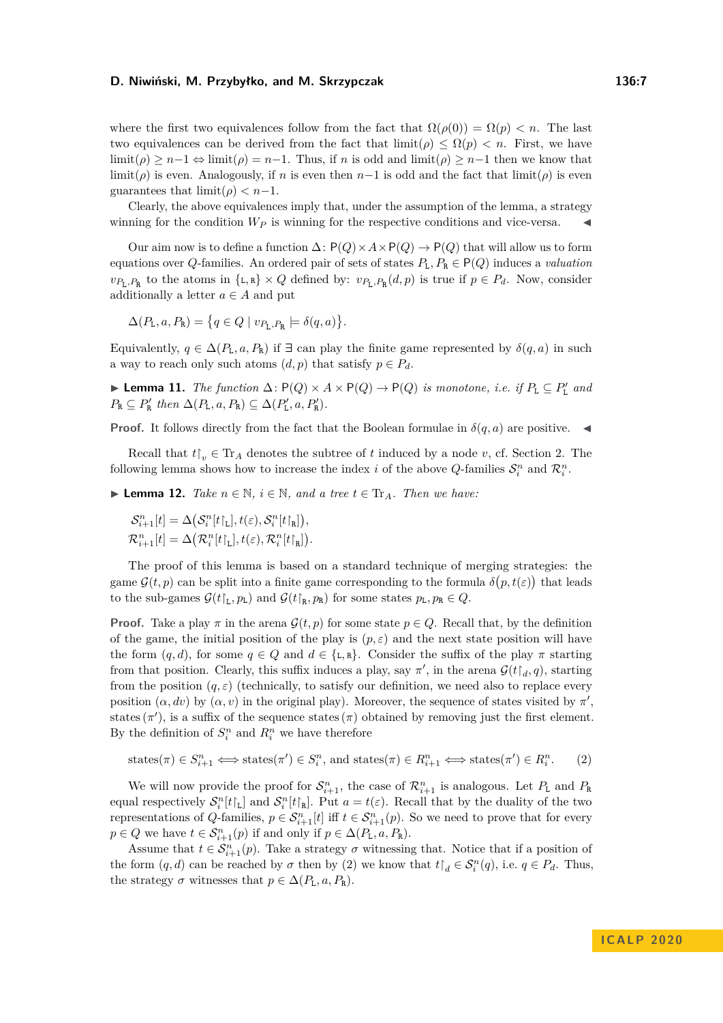where the first two equivalences follow from the fact that  $\Omega(\rho(0)) = \Omega(p) < n$ . The last two equivalences can be derived from the fact that  $\liminf(\rho) \leq \Omega(p) < n$ . First, we have  $\liminf(\rho) > n-1 \Leftrightarrow \liminf(\rho) = n-1$ . Thus, if *n* is odd and  $\liminf(\rho) > n-1$  then we know that limit( $\rho$ ) is even. Analogously, if *n* is even then *n*−1 is odd and the fact that limit( $\rho$ ) is even guarantees that  $\lim_{\rho \to 0} f(\rho) < n-1$ .

Clearly, the above equivalences imply that, under the assumption of the lemma, a strategy winning for the condition  $W_P$  is winning for the respective conditions and vice-versa.

Our aim now is to define a function  $\Delta: P(Q) \times A \times P(Q) \to P(Q)$  that will allow us to form equations over *Q*-families. An ordered pair of sets of states  $P_L, P_R \in \mathsf{P}(Q)$  induces a *valuation*  $v_{P_L, P_R}$  to the atoms in  $\{L, R\} \times Q$  defined by:  $v_{P_L, P_R}(d, p)$  is true if  $p \in P_d$ . Now, consider additionally a letter  $a \in A$  and put

$$
\Delta(P_{\tt L}, a, P_{\tt R}) = \{ q \in Q \mid v_{P_{\tt L}, P_{\tt R}} \models \delta(q, a) \}.
$$

Equivalently,  $q \in \Delta(P_L, a, P_R)$  if  $\exists$  can play the finite game represented by  $\delta(q, a)$  in such a way to reach only such atoms  $(d, p)$  that satisfy  $p \in P_d$ .

<span id="page-6-2"></span>**► Lemma 11.** *The function*  $\Delta$ :  $P(Q) \times A \times P(Q) \rightarrow P(Q)$  *is monotone, i.e. if*  $P_L \subseteq P'_L$  *and*  $P_{\text{R}} \subseteq P_{\text{R}}'$  then  $\Delta(P_{\text{L}}, a, P_{\text{R}}) \subseteq \Delta(P_{\text{L}}', a, P_{\text{R}}').$ 

**Proof.** It follows directly from the fact that the Boolean formulae in  $\delta(q, a)$  are positive.

Recall that  $t\upharpoonright_v \in \text{Tr}_A$  denotes the subtree of *t* induced by a node *v*, cf. Section [2.](#page-2-0) The following lemma shows how to increase the index *i* of the above *Q*-families  $S_i^n$  and  $\mathcal{R}_i^n$ .

<span id="page-6-1"></span>▶ **Lemma 12.** *Take*  $n \in \mathbb{N}$ ,  $i \in \mathbb{N}$ , and a tree  $t \in \text{Tr}_A$ . *Then we have:* 

 $\mathcal{S}_{i+1}^n[t] = \Delta \left( \mathcal{S}_i^n[t \mathcal{F}_L], t(\varepsilon), \mathcal{S}_i^n[t \mathcal{F}_R] \right),$  $\mathcal{R}_{i+1}^n[t] = \Delta \big( \mathcal{R}_i^n[t \mathcal{F}_L], t(\varepsilon), \mathcal{R}_i^n[t \mathcal{F}_R]\big).$ 

The proof of this lemma is based on a standard technique of merging strategies: the game  $\mathcal{G}(t, p)$  can be split into a finite game corresponding to the formula  $\delta(p, t(\varepsilon))$  that leads to the sub-games  $\mathcal{G}(t_L, p_L)$  and  $\mathcal{G}(t_R, p_R)$  for some states  $p_L, p_R \in Q$ .

**Proof.** Take a play  $\pi$  in the arena  $\mathcal{G}(t, p)$  for some state  $p \in Q$ . Recall that, by the definition of the game, the initial position of the play is  $(p, \varepsilon)$  and the next state position will have the form  $(q, d)$ , for some  $q \in Q$  and  $d \in \{L, R\}$ . Consider the suffix of the play  $\pi$  starting from that position. Clearly, this suffix induces a play, say  $\pi'$ , in the arena  $\mathcal{G}(t|_d, q)$ , starting from the position  $(q, \varepsilon)$  (technically, to satisfy our definition, we need also to replace every position  $(\alpha, dv)$  by  $(\alpha, v)$  in the original play). Moreover, the sequence of states visited by  $\pi'$ , states  $(\pi')$ , is a suffix of the sequence states  $(\pi)$  obtained by removing just the first element. By the definition of  $S_i^n$  and  $R_i^n$  we have therefore

<span id="page-6-0"></span>states
$$
(\pi) \in S_{i+1}^n \iff
$$
 states $(\pi') \in S_i^n$ , and states $(\pi) \in R_{i+1}^n \iff$  states $(\pi') \in R_i^n$ . (2)

We will now provide the proof for  $S_{i+1}^n$ , the case of  $\mathcal{R}_{i+1}^n$  is analogous. Let  $P_L$  and  $P_R$ equal respectively  $S_i^n[t]_L$  and  $S_i^n[t]_R$ . Put  $a = t(\varepsilon)$ . Recall that by the duality of the two representations of *Q*-families,  $p \in S_{i+1}^n[t]$  iff  $t \in S_{i+1}^n(p)$ . So we need to prove that for every  $p \in Q$  we have  $t \in \mathcal{S}_{i+1}^n(p)$  if and only if  $p \in \Delta(P_L, a, P_R)$ .

Assume that  $t \in \mathcal{S}_{i+1}^n(p)$ . Take a strategy  $\sigma$  witnessing that. Notice that if a position of the form  $(q, d)$  can be reached by  $\sigma$  then by [\(2\)](#page-6-0) we know that  $t \upharpoonright_d \in \mathcal{S}_i^n(q)$ , i.e.  $q \in P_d$ . Thus, the strategy  $\sigma$  witnesses that  $p \in \Delta(P_L, a, P_R)$ .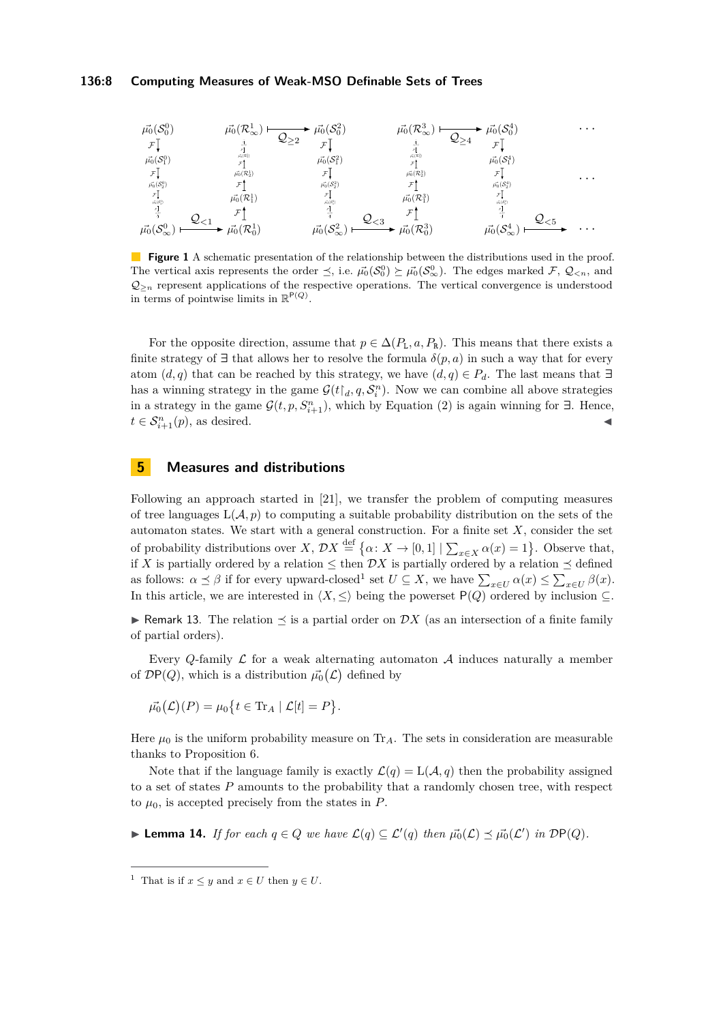# **136:8 Computing Measures of Weak-MSO Definable Sets of Trees**

<span id="page-7-0"></span>

**Figure 1** A schematic presentation of the relationship between the distributions used in the proof. The vertical axis represents the order  $\preceq$ , i.e.  $\vec{\mu_0}(S_0^0) \succeq \vec{\mu_0}(S_{\infty}^0)$ . The edges marked  $\mathcal{F}, \mathcal{Q}_{\leq n}$ , and  $Q_{\geq n}$  represent applications of the respective operations. The vertical convergence is understood in terms of pointwise limits in  $\mathbb{R}^{P(Q)}$ .

For the opposite direction, assume that  $p \in \Delta(P_L, a, P_R)$ . This means that there exists a finite strategy of  $\exists$  that allows her to resolve the formula  $\delta(p, a)$  in such a way that for every atom  $(d, q)$  that can be reached by this strategy, we have  $(d, q) \in P_d$ . The last means that  $\exists$ has a winning strategy in the game  $\mathcal{G}(t|_d, q, \mathcal{S}_i^n)$ . Now we can combine all above strategies in a strategy in the game  $\mathcal{G}(t, p, S_{i+1}^n)$ , which by Equation [\(2\)](#page-6-0) is again winning for  $\exists$ . Hence,  $t \in \mathcal{S}_{i+1}^n(p)$ , as desired.

# **5 Measures and distributions**

Following an approach started in [\[21\]](#page-17-8), we transfer the problem of computing measures of tree languages  $L(\mathcal{A}, p)$  to computing a suitable probability distribution on the sets of the automaton states. We start with a general construction. For a finite set *X*, consider the set of probability distributions over  $X, \mathcal{D}X \stackrel{\text{def}}{=} {\alpha \colon X \to [0,1] | \sum_{x \in X} \alpha(x) = 1}.$  Observe that, if X is partially ordered by a relation  $\leq$  then  $\mathcal{D}X$  is partially ordered by a relation  $\leq$  defined as follows:  $\alpha \leq \beta$  if for every upward-closed<sup>[1](#page-7-1)</sup> set  $U \subseteq X$ , we have  $\sum_{x \in U} \alpha(x) \leq \sum_{x \in U} \beta(x)$ . In this article, we are interested in  $\langle X, \leq \rangle$  being the powerset P(*Q*) ordered by inclusion ⊆.

**I** Remark 13. The relation  $\prec$  is a partial order on DX (as an intersection of a finite family of partial orders).

Every *Q*-family  $\mathcal L$  for a weak alternating automaton  $\mathcal A$  induces naturally a member of  $\mathcal{D}P(Q)$ , which is a distribution  $\vec{\mu_0}(\mathcal{L})$  defined by

 $\vec{\mu_0}(\mathcal{L})(P) = \mu_0 \{ t \in \text{Tr}_A \mid \mathcal{L}[t] = P \}.$ 

Here  $\mu_0$  is the uniform probability measure on Tr<sub>A</sub>. The sets in consideration are measurable thanks to Proposition [6.](#page-3-2)

Note that if the language family is exactly  $\mathcal{L}(q) = L(\mathcal{A}, q)$  then the probability assigned to a set of states *P* amounts to the probability that a randomly chosen tree, with respect to  $\mu_0$ , is accepted precisely from the states in  $P$ .

<span id="page-7-2"></span>▶ **Lemma 14.** *If for each*  $q \in Q$  *we have*  $\mathcal{L}(q) \subseteq \mathcal{L}'(q)$  *then*  $\vec{\mu_0}(\mathcal{L}) \preceq \vec{\mu_0}(\mathcal{L}')$  *in*  $\mathcal{D}P(Q)$ *.* 

<span id="page-7-1"></span><sup>&</sup>lt;sup>1</sup> That is if  $x \leq y$  and  $x \in U$  then  $y \in U$ .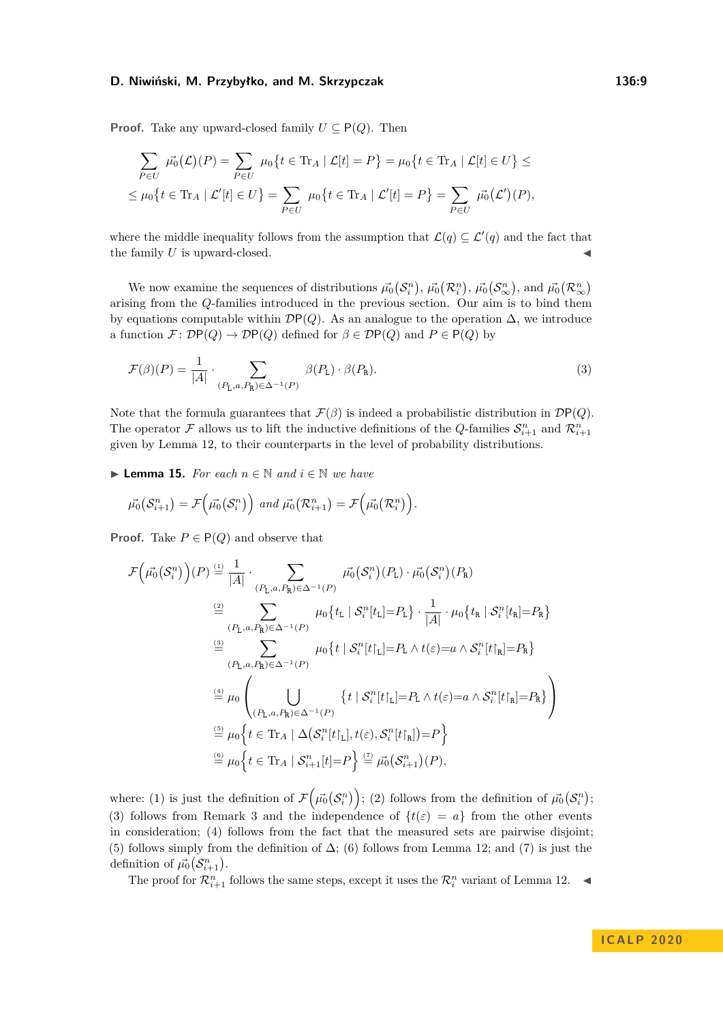**Proof.** Take any upward-closed family  $U \subseteq P(Q)$ . Then

$$
\sum_{P \in U} \vec{\mu_0}(\mathcal{L})(P) = \sum_{P \in U} \mu_0 \{ t \in \text{Tr}_A \mid \mathcal{L}[t] = P \} = \mu_0 \{ t \in \text{Tr}_A \mid \mathcal{L}[t] \in U \} \le
$$
  

$$
\leq \mu_0 \{ t \in \text{Tr}_A \mid \mathcal{L}'[t] \in U \} = \sum_{P \in U} \mu_0 \{ t \in \text{Tr}_A \mid \mathcal{L}'[t] = P \} = \sum_{P \in U} \vec{\mu_0}(\mathcal{L}')(P),
$$

where the middle inequality follows from the assumption that  $\mathcal{L}(q) \subseteq \mathcal{L}'(q)$  and the fact that the family  $U$  is upward-closed.

We now examine the sequences of distributions  $\vec{\mu_0}(\mathcal{S}_i^n)$ ,  $\vec{\mu_0}(\mathcal{R}_i^n)$ ,  $\vec{\mu_0}(\mathcal{S}_{\infty}^n)$ , and  $\vec{\mu_0}(\mathcal{R}_{\infty}^n)$ arising from the *Q*-families introduced in the previous section. Our aim is to bind them by equations computable within  $\mathcal{D}P(Q)$ . As an analogue to the operation  $\Delta$ , we introduce a function  $\mathcal{F} \colon \mathcal{D}P(Q) \to \mathcal{D}P(Q)$  defined for  $\beta \in \mathcal{D}P(Q)$  and  $P \in P(Q)$  by

<span id="page-8-1"></span>
$$
\mathcal{F}(\beta)(P) = \frac{1}{|A|} \cdot \sum_{(P_L, a, P_R) \in \Delta^{-1}(P)} \beta(P_L) \cdot \beta(P_R). \tag{3}
$$

Note that the formula guarantees that  $\mathcal{F}(\beta)$  is indeed a probabilistic distribution in  $\mathcal{D}P(Q)$ . The operator  $\mathcal F$  allows us to lift the inductive definitions of the *Q*-families  $\mathcal S_{i+1}^n$  and  $\mathcal R_{i+1}^n$ given by Lemma [12,](#page-6-1) to their counterparts in the level of probability distributions.

<span id="page-8-0"></span>**► Lemma 15.** For each  $n \in \mathbb{N}$  and  $i \in \mathbb{N}$  we have

$$
\vec{\mu_0}(\mathcal{S}_{i+1}^n) = \mathcal{F}\Big(\vec{\mu_0}(\mathcal{S}_i^n)\Big) \text{ and } \vec{\mu_0}(\mathcal{R}_{i+1}^n) = \mathcal{F}\Big(\vec{\mu_0}(\mathcal{R}_{i}^n)\Big).
$$

**Proof.** Take  $P \in P(Q)$  and observe that

$$
\mathcal{F}(\vec{\mu_{0}}(\mathcal{S}_{i}^{n}))(P) \stackrel{(1)}{=} \frac{1}{|A|} \cdot \sum_{(P_{\text{L},a},P_{\text{R}}) \in \Delta^{-1}(P)} \vec{\mu_{0}}(\mathcal{S}_{i}^{n})(P_{\text{L}}) \cdot \vec{\mu_{0}}(\mathcal{S}_{i}^{n})(P_{\text{R}})
$$
  
\n
$$
\stackrel{(2)}{=} \sum_{(P_{\text{L},a},P_{\text{R}}) \in \Delta^{-1}(P)} \mu_{0}\{t_{\text{L}} \mid \mathcal{S}_{i}^{n}[t_{\text{L}}] = P_{\text{L}}\} \cdot \frac{1}{|A|} \cdot \mu_{0}\{t_{\text{R}} \mid \mathcal{S}_{i}^{n}[t_{\text{R}}] = P_{\text{R}}\}
$$
  
\n
$$
\stackrel{(3)}{=} \sum_{(P_{\text{L},a},P_{\text{R}}) \in \Delta^{-1}(P)} \mu_{0}\{t \mid \mathcal{S}_{i}^{n}[t]_{\text{L}}] = P_{\text{L}} \wedge t(\varepsilon) = a \wedge \mathcal{S}_{i}^{n}[t]_{\text{R}}] = P_{\text{R}}\}
$$
  
\n
$$
\stackrel{(4)}{=} \mu_{0}\left(\bigcup_{(P_{\text{L},a},P_{\text{R}}) \in \Delta^{-1}(P)} \{t \mid \mathcal{S}_{i}^{n}[t]_{\text{L}}] = P_{\text{L}} \wedge t(\varepsilon) = a \wedge \mathcal{S}_{i}^{n}[t]_{\text{R}}] = P_{\text{R}}\}\right)
$$
  
\n
$$
\stackrel{(5)}{=} \mu_{0}\{t \in \text{Tr}_{A} \mid \Delta(\mathcal{S}_{i}^{n}[t]_{\text{L}}], t(\varepsilon), \mathcal{S}_{i}^{n}[t]_{\text{R}}] = P\}
$$
  
\n
$$
\stackrel{(6)}{=} \mu_{0}\{t \in \text{Tr}_{A} \mid \mathcal{S}_{i+1}^{n}[t] = P\} \stackrel{(7)}{=} \mu_{0}(\mathcal{S}_{i+1}^{n})(P),
$$

where: (1) is just the definition of  $\mathcal{F}(\vec{\mu_0}(\mathcal{S}_i^n));$  (2) follows from the definition of  $\vec{\mu_0}(\mathcal{S}_i^n);$ (3) follows from Remark [3](#page-2-1) and the independence of  $\{t(\varepsilon) = a\}$  from the other events in consideration; (4) follows from the fact that the measured sets are pairwise disjoint; (5) follows simply from the definition of  $\Delta$ ; (6) follows from Lemma [12;](#page-6-1) and (7) is just the definition of  $\vec{\mu_0}(\mathcal{S}_{i+1}^n)$ .

The proof for  $\mathcal{R}_{i+1}^n$  follows the same steps, except it uses the  $\mathcal{R}_i^n$  variant of Lemma [12.](#page-6-1)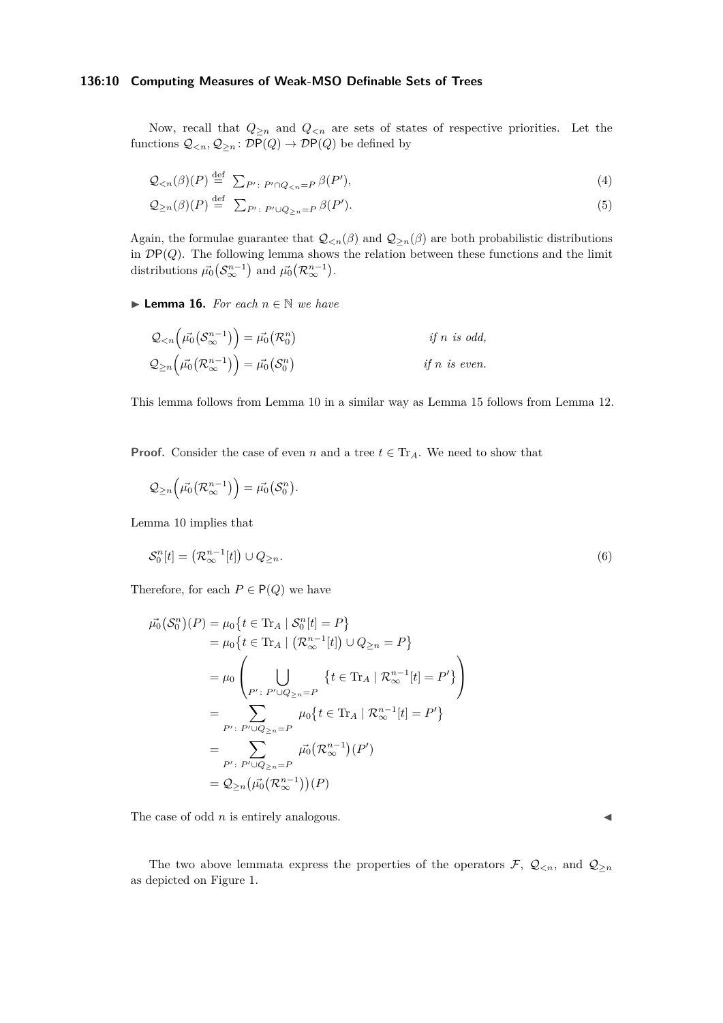# **136:10 Computing Measures of Weak-MSO Definable Sets of Trees**

Now, recall that  $Q_{\geq n}$  and  $Q_{\leq n}$  are sets of states of respective priorities. Let the functions  $\mathcal{Q}_{\leq n}, \mathcal{Q}_{\geq n} : \mathcal{D}P(Q) \to \mathcal{D}P(Q)$  be defined by

$$
\mathcal{Q}_{\leq n}(\beta)(P) \stackrel{\text{def}}{=} \sum_{P': P' \cap Q_{\leq n} = P} \beta(P'),\tag{4}
$$

$$
Q_{\geq n}(\beta)(P) \stackrel{\text{def}}{=} \sum_{P': P' \cup Q_{\geq n} = P} \beta(P'). \tag{5}
$$

Again, the formulae guarantee that  $\mathcal{Q}_{\leq n}(\beta)$  and  $\mathcal{Q}_{\geq n}(\beta)$  are both probabilistic distributions in DP(*Q*). The following lemma shows the relation between these functions and the limit distributions  $\vec{\mu_0}(\mathcal{S}_{\infty}^{n-1})$  and  $\vec{\mu_0}(\mathcal{R}_{\infty}^{n-1})$ .

<span id="page-9-0"></span>**► Lemma 16.** For each  $n \in \mathbb{N}$  we have

$$
Q_{\leq n}(\vec{\mu_0}(S_{\infty}^{n-1})) = \vec{\mu_0}(\mathcal{R}_0^n)
$$
 if n is odd,  

$$
Q_{\geq n}(\vec{\mu_0}(\mathcal{R}_{\infty}^{n-1})) = \vec{\mu_0}(S_0^n)
$$
 if n is even.

This lemma follows from Lemma [10](#page-5-1) in a similar way as Lemma [15](#page-8-0) follows from Lemma [12.](#page-6-1)

**Proof.** Consider the case of even *n* and a tree  $t \in \text{Tr}_A$ . We need to show that

$$
\mathcal{Q}_{\geq n}\left(\vec{\mu_0}(\mathcal{R}_{\infty}^{n-1})\right)=\vec{\mu_0}(\mathcal{S}_0^n).
$$

Lemma [10](#page-5-1) implies that

$$
\mathcal{S}_0^n[t] = \left(\mathcal{R}_\infty^{n-1}[t]\right) \cup Q_{\geq n}.\tag{6}
$$

Therefore, for each  $P \in \mathsf{P}(Q)$  we have

$$
\vec{\mu_0}(S_0^n)(P) = \mu_0\{t \in \text{Tr}_A \mid S_0^n[t] = P\}
$$
\n
$$
= \mu_0\{t \in \text{Tr}_A \mid (\mathcal{R}_{\infty}^{n-1}[t]) \cup Q_{\ge n} = P\}
$$
\n
$$
= \mu_0\left(\bigcup_{P': P' \cup Q_{\ge n} = P} \{t \in \text{Tr}_A \mid \mathcal{R}_{\infty}^{n-1}[t] = P'\}\right)
$$
\n
$$
= \sum_{P': P' \cup Q_{\ge n} = P} \mu_0\{t \in \text{Tr}_A \mid \mathcal{R}_{\infty}^{n-1}[t] = P'\}
$$
\n
$$
= \sum_{P': P' \cup Q_{\ge n} = P} \vec{\mu_0}(\mathcal{R}_{\infty}^{n-1})(P')
$$
\n
$$
= Q_{\ge n}(\vec{\mu_0}(\mathcal{R}_{\infty}^{n-1}))(P)
$$

The case of odd  $n$  is entirely analogous.

The two above lemmata express the properties of the operators  $\mathcal{F}, \mathcal{Q}_{\leq n}$ , and  $\mathcal{Q}_{\geq n}$ as depicted on Figure [1.](#page-7-0)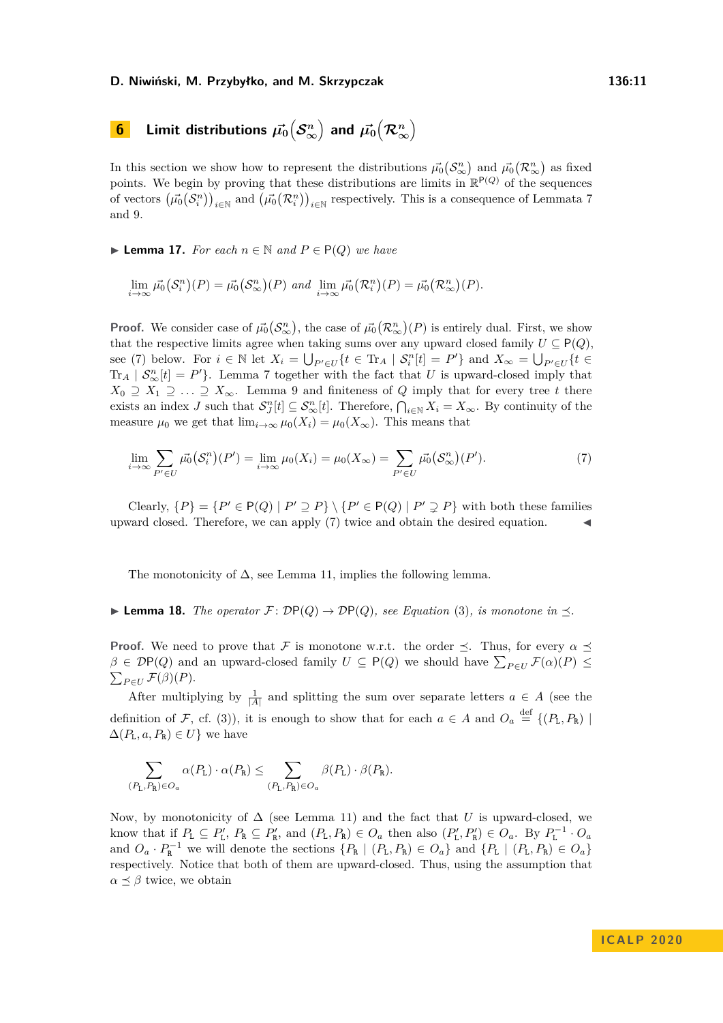# $\widehat{\mathbf{b}}$  **Limit distributions**  $\vec{\mu_0}\big(\mathcal{S}_{\infty}^n\big)$  and  $\vec{\mu_0}\big(\mathcal{R}_{\infty}^n\big)$

In this section we show how to represent the distributions  $\vec{\mu_0}(\mathcal{S}_{\infty}^n)$  and  $\vec{\mu_0}(\mathcal{R}_{\infty}^n)$  as fixed points. We begin by proving that these distributions are limits in  $\mathbb{R}^{P(Q)}$  of the sequences of vectors  $(\vec{\mu_0}(S_i^n))_{i \in \mathbb{N}}$  and  $(\vec{\mu_0}(R_i^n))_{i \in \mathbb{N}}$  respectively. This is a consequence of Lemmata [7](#page-4-1) and [9.](#page-5-0)

<span id="page-10-1"></span>**► Lemma 17.** *For each*  $n \in \mathbb{N}$  *and*  $P \in \mathsf{P}(Q)$  *we have* 

$$
\lim_{i \to \infty} \overrightarrow{\mu_0}(\mathcal{S}_i^n)(P) = \overrightarrow{\mu_0}(\mathcal{S}_{\infty}^n)(P) \text{ and } \lim_{i \to \infty} \overrightarrow{\mu_0}(\mathcal{R}_i^n)(P) = \overrightarrow{\mu_0}(\mathcal{R}_{\infty}^n)(P).
$$

**Proof.** We consider case of  $\vec{\mu_0}(S_\infty^n)$ , the case of  $\vec{\mu_0}(R_\infty^n)(P)$  is entirely dual. First, we show that the respective limits agree when taking sums over any upward closed family  $U \subseteq P(Q)$ , see [\(7\)](#page-10-0) below. For  $i \in \mathbb{N}$  let  $X_i = \bigcup_{P' \in U} \{t \in \text{Tr}_A \mid \mathcal{S}_i^n[t] = P'\}$  and  $X_\infty = \bigcup_{P' \in U} \{t \in \mathcal{S}_i^n[t] = P'\}$  $\text{Tr}_A \mid \mathcal{S}_{\infty}^n[t] = P'$ . Lemma [7](#page-4-1) together with the fact that *U* is upward-closed imply that  $X_0 \supseteq X_1 \supseteq \ldots \supseteq X_\infty$ . Lemma [9](#page-5-0) and finiteness of *Q* imply that for every tree *t* there exists an index *J* such that  $S_J^n[t] \subseteq S_\infty^n[t]$ . Therefore,  $\bigcap_{i\in\mathbb{N}} X_i = X_\infty$ . By continuity of the measure  $\mu_0$  we get that  $\lim_{i\to\infty} \mu_0(X_i) = \mu_0(X_\infty)$ . This means that

<span id="page-10-0"></span>
$$
\lim_{i \to \infty} \sum_{P' \in U} \overrightarrow{\mu_0}(S_i^n)(P') = \lim_{i \to \infty} \mu_0(X_i) = \mu_0(X_{\infty}) = \sum_{P' \in U} \overrightarrow{\mu_0}(S_{\infty}^n)(P'). \tag{7}
$$

Clearly,  $\{P\} = \{P' \in P(Q) \mid P' \supseteq P\} \setminus \{P' \in P(Q) \mid P' \supsetneq P\}$  with both these families upward closed. Therefore, we can apply [\(7\)](#page-10-0) twice and obtain the desired equation.

<span id="page-10-2"></span>The monotonicity of  $\Delta$ , see Lemma [11,](#page-6-2) implies the following lemma.

**I Lemma 18.** The operator  $\mathcal{F}: \mathcal{D}P(Q) \to \mathcal{D}P(Q)$ , see Equation [\(3\)](#page-8-1), is monotone in  $\preceq$ .

**Proof.** We need to prove that F is monotone w.r.t. the order  $\preceq$ . Thus, for every  $\alpha \preceq$  $\beta \in \mathcal{D}P(Q)$  and an upward-closed family  $U \subseteq P(Q)$  we should have  $\sum_{P \in U} \mathcal{F}(\alpha)(P) \leq$  $\sum_{P \in U} \mathcal{F}(\beta)(P).$ 

After multiplying by  $\frac{1}{|A|}$  and splitting the sum over separate letters  $a \in A$  (see the definition of F, cf. [\(3\)](#page-8-1)), it is enough to show that for each  $a \in A$  and  $O_a \stackrel{\text{def}}{=} \{(P_L, P_R) \mid$  $\Delta(P_{\text{L}}, a, P_{\text{R}}) \in U$ } we have

$$
\sum_{(P_{\mathbf{L}},P_{\mathbf{R}})\in O_a}\alpha(P_{\mathbf{L}})\cdot \alpha(P_{\mathbf{R}})\leq \sum_{(P_{\mathbf{L}},P_{\mathbf{R}})\in O_a}\beta(P_{\mathbf{L}})\cdot \beta(P_{\mathbf{R}}).
$$

Now, by monotonicity of  $\Delta$  (see Lemma [11\)](#page-6-2) and the fact that *U* is upward-closed, we know that if  $P_L \subseteq P'_L$ ,  $P_R \subseteq P'_R$ , and  $(P_L, P_R) \in O_a$  then also  $(P'_L, P'_R) \in O_a$ . By  $P_L^{-1} \cdot O_a$ and  $O_a \cdot P_{\mathbb{R}}^{-1}$  we will denote the sections  $\{P_{\mathbb{R}} \mid (P_{\mathbb{L}}, P_{\mathbb{R}}) \in O_a\}$  and  $\{P_{\mathbb{L}} \mid (P_{\mathbb{L}}, P_{\mathbb{R}}) \in O_a\}$ respectively. Notice that both of them are upward-closed. Thus, using the assumption that  $\alpha \preceq \beta$  twice, we obtain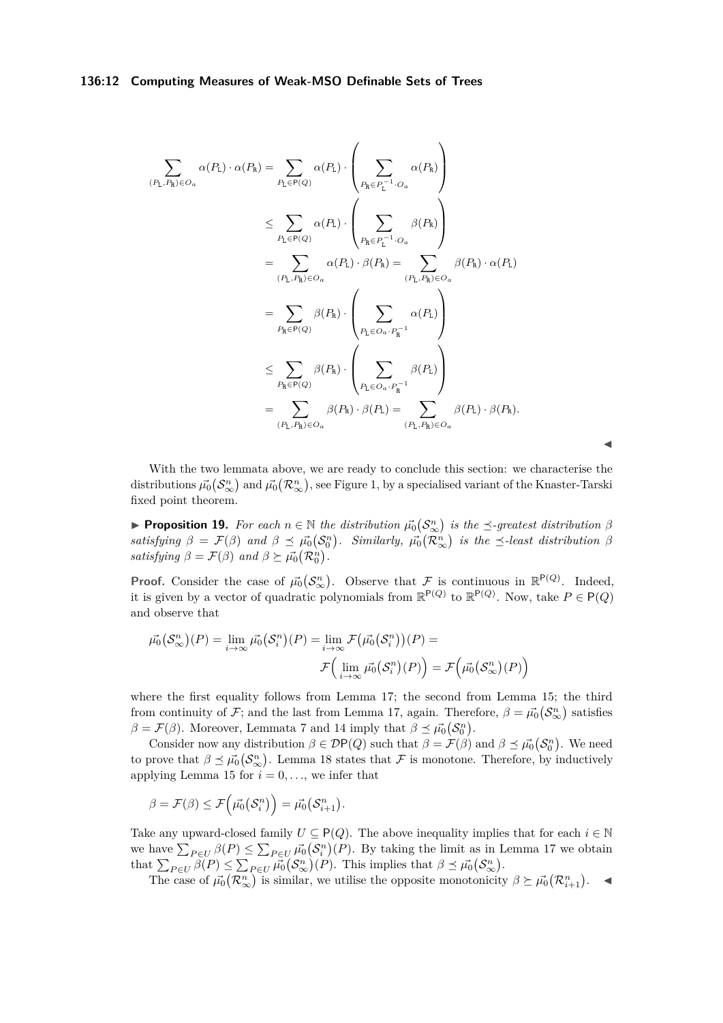# **136:12 Computing Measures of Weak-MSO Definable Sets of Trees**

$$
\sum_{(P_{\rm L},P_{\rm R}) \in O_a} \alpha(P_{\rm L}) \cdot \alpha(P_{\rm R}) = \sum_{P_{\rm L} \in P(Q)} \alpha(P_{\rm L}) \cdot \left(\sum_{P_{\rm R} \in P_{\rm L}^{-1} \cdot O_a} \alpha(P_{\rm R})\right)
$$
\n
$$
\leq \sum_{P_{\rm L} \in P(Q)} \alpha(P_{\rm L}) \cdot \left(\sum_{P_{\rm R} \in P_{\rm L}^{-1} \cdot O_a} \beta(P_{\rm R})\right)
$$
\n
$$
= \sum_{(P_{\rm L},P_{\rm R}) \in O_a} \alpha(P_{\rm L}) \cdot \beta(P_{\rm R}) = \sum_{(P_{\rm L},P_{\rm R}) \in O_a} \beta(P_{\rm R}) \cdot \alpha(P_{\rm L})
$$
\n
$$
= \sum_{P_{\rm R} \in P(Q)} \beta(P_{\rm R}) \cdot \left(\sum_{P_{\rm L} \in O_a \cdot P_{\rm R}^{-1}} \alpha(P_{\rm L})\right)
$$
\n
$$
\leq \sum_{P_{\rm R} \in P(Q)} \beta(P_{\rm R}) \cdot \left(\sum_{P_{\rm L} \in O_a \cdot P_{\rm R}^{-1}} \beta(P_{\rm L})\right)
$$
\n
$$
= \sum_{(P_{\rm L},P_{\rm R}) \in O_a} \beta(P_{\rm R}) \cdot \beta(P_{\rm L}) = \sum_{(P_{\rm L},P_{\rm R}) \in O_a} \beta(P_{\rm L}) \cdot \beta(P_{\rm R}).
$$

With the two lemmata above, we are ready to conclude this section: we characterise the distributions  $\vec{\mu_0}(S_\infty^n)$  and  $\vec{\mu_0}(\mathcal{R}_\infty^n)$ , see Figure [1,](#page-7-0) by a specialised variant of the Knaster-Tarski fixed point theorem.

 $\blacktriangleleft$ 

<span id="page-11-0"></span>**• Proposition 19.** For each  $n \in \mathbb{N}$  the distribution  $\vec{\mu}_0(S_\infty^n)$  is the  $\preceq$ -greatest distribution  $\beta$  $satisfying \beta = \mathcal{F}(\beta)$  and  $\beta \preceq \vec{\mu_0}(\mathcal{S}_0^n)$ . Similarly,  $\vec{\mu_0}(\mathcal{R}_{\infty}^n)$  is the  $\preceq$ -least distribution  $\beta$ *satisfying*  $\beta = \mathcal{F}(\beta)$  *and*  $\beta \succeq \vec{\mu_0}(\mathcal{R}_0^n)$ .

**Proof.** Consider the case of  $\vec{\mu_0}(S^n_{\infty})$ . Observe that F is continuous in  $\mathbb{R}^{\mathsf{P}(Q)}$ . Indeed, it is given by a vector of quadratic polynomials from  $\mathbb{R}^{P(Q)}$  to  $\mathbb{R}^{P(Q)}$ . Now, take  $P \in \mathsf{P}(Q)$ and observe that

$$
\overrightarrow{\mu_0}(S_{\infty}^n)(P) = \lim_{i \to \infty} \overrightarrow{\mu_0}(S_i^n)(P) = \lim_{i \to \infty} \mathcal{F}(\overrightarrow{\mu_0}(S_i^n))(P) =
$$

$$
\mathcal{F}\Big(\lim_{i \to \infty} \overrightarrow{\mu_0}(S_i^n)(P)\Big) = \mathcal{F}\Big(\overrightarrow{\mu_0}(S_{\infty}^n)(P)\Big)
$$

where the first equality follows from Lemma [17;](#page-10-1) the second from Lemma [15;](#page-8-0) the third from continuity of  $\mathcal{F}$ ; and the last from Lemma [17,](#page-10-1) again. Therefore,  $\beta = \vec{\mu_0}(\mathcal{S}_{\infty}^n)$  satisfies  $\beta = \mathcal{F}(\beta)$ . Moreover, Lemmata [7](#page-4-1) and [14](#page-7-2) imply that  $\beta \preceq \vec{\mu_0}(\mathcal{S}_0^n)$ .

Consider now any distribution  $\beta \in \mathcal{D}P(Q)$  such that  $\beta = \mathcal{F}(\beta)$  and  $\beta \preceq \vec{\mu_0}(\mathcal{S}_0^n)$ . We need to prove that  $\beta \preceq \vec{\mu_0}(\mathcal{S}_{\infty}^n)$ . Lemma [18](#page-10-2) states that  $\mathcal F$  is monotone. Therefore, by inductively applying Lemma [15](#page-8-0) for  $i = 0, \ldots$ , we infer that

$$
\beta = \mathcal{F}(\beta) \le \mathcal{F}(\vec{\mu_0}(\mathcal{S}_i^n)) = \vec{\mu_0}(\mathcal{S}_{i+1}^n).
$$

Take any upward-closed family  $U \subseteq P(Q)$ . The above inequality implies that for each  $i \in \mathbb{N}$ we have  $\sum_{P \in U} \beta(P) \le \sum_{P \in U} \vec{\mu_0}(\mathcal{S}_i^n)(P)$ . By taking the limit as in Lemma [17](#page-10-1) we obtain that  $\sum_{P \in U} \beta(P) \leq \sum_{P \in U} \overrightarrow{\mu_0}(\mathcal{S}_{\infty}^n)(P)$ . This implies that  $\beta \preceq \overrightarrow{\mu_0}(\mathcal{S}_{\infty}^n)$ .

The case of  $\vec{\mu_0}(\mathcal{R}_{\infty}^n)$  is similar, we utilise the opposite monotonicity  $\beta \succeq \vec{\mu_0}(\mathcal{R}_{i+1}^n)$ .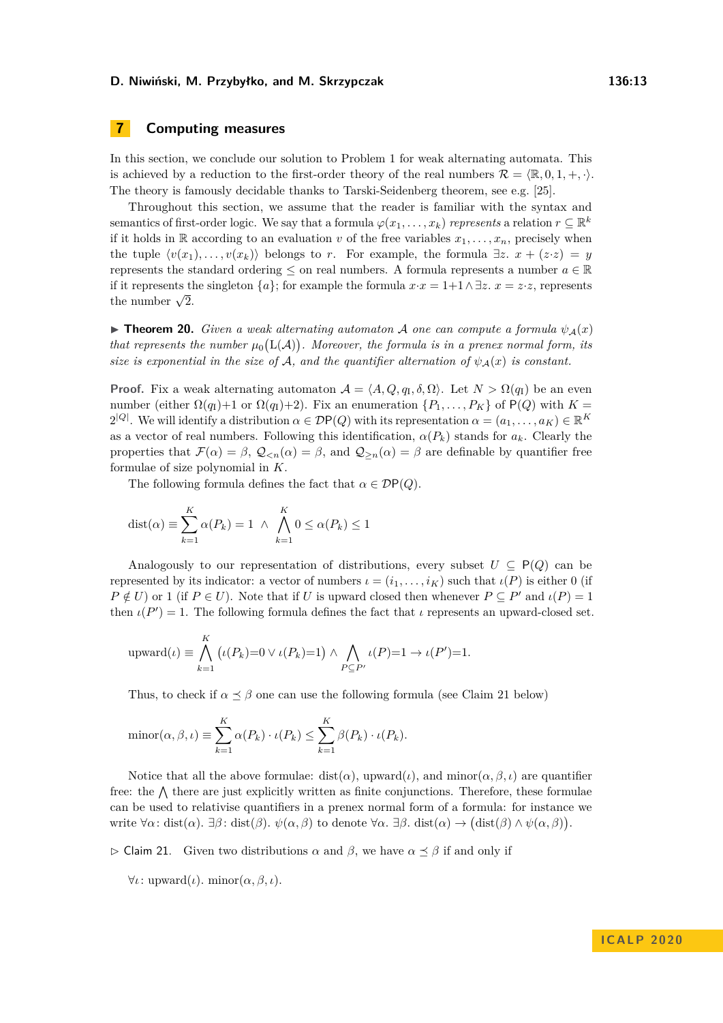# **7 Computing measures**

In this section, we conclude our solution to Problem [1](#page-0-0) for weak alternating automata. This is achieved by a reduction to the first-order theory of the real numbers  $\mathcal{R} = \langle \mathbb{R}, 0, 1, +, \cdot \rangle$ . The theory is famously decidable thanks to Tarski-Seidenberg theorem, see e.g. [\[25\]](#page-17-19).

Throughout this section, we assume that the reader is familiar with the syntax and semantics of first-order logic. We say that a formula  $\varphi(x_1, \ldots, x_k)$  *represents* a relation  $r \subseteq \mathbb{R}^k$ if it holds in  $\mathbb R$  according to an evaluation *v* of the free variables  $x_1, \ldots, x_n$ , precisely when the tuple  $\langle v(x_1), \ldots, v(x_k) \rangle$  belongs to *r*. For example, the formula  $\exists z. x + (z \cdot z) = y$ represents the standard ordering  $\leq$  on real numbers. A formula represents a number  $a \in \mathbb{R}$ if it represents the singleton  $\{a\}$ ; for example the formula  $x \cdot x = 1+1 \wedge \exists z \cdot x = z \cdot z$ , represents If it represents the number  $\sqrt{2}$ .

<span id="page-12-1"></span>**If Theorem 20.** *Given a weak alternating automaton* A *one can compute a formula*  $\psi_A(x)$ *that represents the number*  $\mu_0(L(\mathcal{A}))$ *. Moreover, the formula is in a prenex normal form, its size is exponential in the size of* A, and the quantifier alternation of  $\psi_A(x)$  is constant.

**Proof.** Fix a weak alternating automaton  $A = \langle A, Q, q_I, \delta, \Omega \rangle$ . Let  $N > \Omega(q_I)$  be an even number (either  $\Omega(q_1)+1$  or  $\Omega(q_1)+2$ ). Fix an enumeration  $\{P_1,\ldots,P_K\}$  of  $P(Q)$  with  $K=$  $2^{|Q|}$ . We will identify a distribution  $\alpha \in \mathcal{D}P(Q)$  with its representation  $\alpha = (a_1, \ldots, a_K) \in \mathbb{R}^K$ as a vector of real numbers. Following this identification,  $\alpha(P_k)$  stands for  $a_k$ . Clearly the properties that  $\mathcal{F}(\alpha) = \beta$ ,  $\mathcal{Q}_{\leq n}(\alpha) = \beta$ , and  $\mathcal{Q}_{\geq n}(\alpha) = \beta$  are definable by quantifier free formulae of size polynomial in *K*.

The following formula defines the fact that  $\alpha \in \mathcal{D}P(Q)$ .

$$
dist(\alpha) \equiv \sum_{k=1}^{K} \alpha(P_k) = 1 \ \wedge \ \bigwedge_{k=1}^{K} 0 \le \alpha(P_k) \le 1
$$

Analogously to our representation of distributions, every subset  $U \subseteq P(Q)$  can be represented by its indicator: a vector of numbers *ι* = (*i*1*, . . . , iK*) such that *ι*(*P*) is either 0 (if  $P \notin U$ ) or 1 (if  $P \in U$ ). Note that if *U* is upward closed then whenever  $P \subseteq P'$  and  $\iota(P) = 1$ then  $\iota(P') = 1$ . The following formula defines the fact that  $\iota$  represents an upward-closed set.

upward(
$$
\iota
$$
)  $\equiv \bigwedge_{k=1}^{R} (\iota(P_k)=0 \vee \iota(P_k)=1) \wedge \bigwedge_{P \subseteq P'} \iota(P)=1 \rightarrow \iota(P')=1.$ 

Thus, to check if  $\alpha \leq \beta$  one can use the following formula (see Claim [21](#page-12-0) below)

$$
\text{minor}(\alpha, \beta, \iota) \equiv \sum_{k=1}^{K} \alpha(P_k) \cdot \iota(P_k) \leq \sum_{k=1}^{K} \beta(P_k) \cdot \iota(P_k).
$$

Notice that all the above formulae: dist( $\alpha$ ), upward( $\iota$ ), and minor( $\alpha, \beta, \iota$ ) are quantifier free: the  $\Lambda$  there are just explicitly written as finite conjunctions. Therefore, these formulae can be used to relativise quantifiers in a prenex normal form of a formula: for instance we write  $\forall \alpha$ : dist( $\alpha$ ).  $\exists \beta$ : dist( $\beta$ ).  $\psi(\alpha, \beta)$  to denote  $\forall \alpha$ .  $\exists \beta$ . dist( $\alpha$ )  $\rightarrow$  (dist( $\beta$ )  $\land \psi(\alpha, \beta)$ ).

<span id="page-12-0"></span> $\triangleright$  Claim 21. Given two distributions  $\alpha$  and  $\beta$ , we have  $\alpha \preceq \beta$  if and only if

 $\forall \iota: \text{upward}(\iota)$ *.* minor $(\alpha, \beta, \iota)$ *.* 

*K*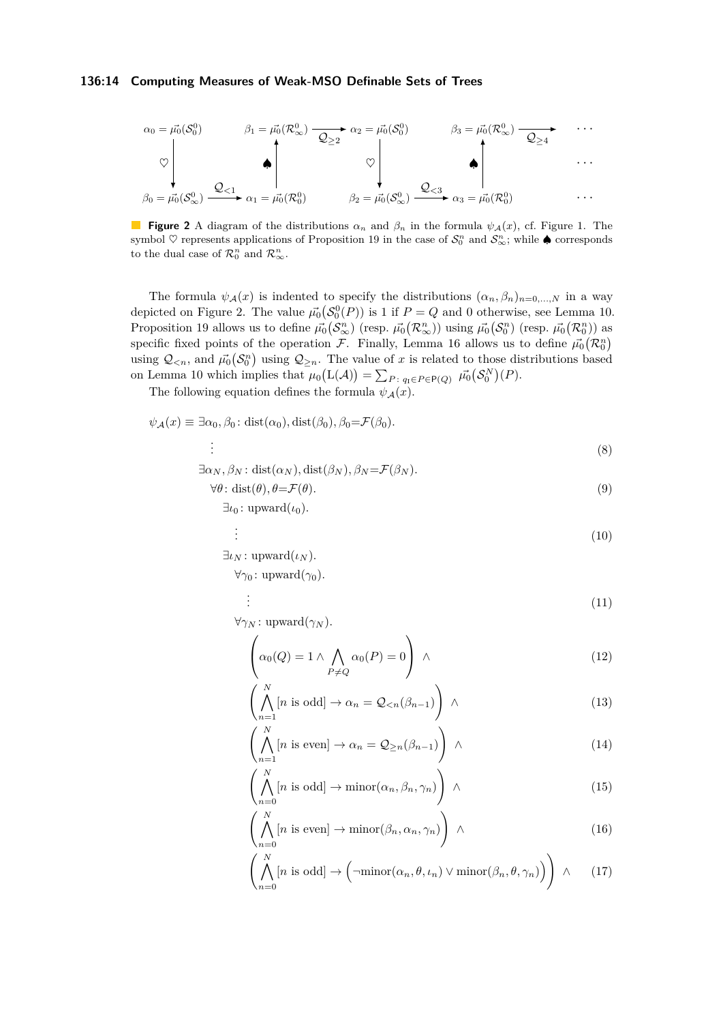## **136:14 Computing Measures of Weak-MSO Definable Sets of Trees**

<span id="page-13-0"></span>
$$
\alpha_0 = \vec{\mu_0}(S_0^0) \qquad \beta_1 = \vec{\mu_0}(\mathcal{R}_{\infty}^0) \longrightarrow \alpha_2 = \vec{\mu_0}(S_0^0) \qquad \beta_3 = \vec{\mu_0}(\mathcal{R}_{\infty}^0) \longrightarrow \cdots
$$
  

$$
\heartsuit \qquad \qquad \heartsuit \qquad \qquad \heartsuit \qquad \qquad \heartsuit
$$
  

$$
\beta_0 = \vec{\mu_0}(S_{\infty}^0) \longrightarrow \alpha_1 = \vec{\mu_0}(\mathcal{R}_0^0) \qquad \qquad \beta_2 = \vec{\mu_0}(S_{\infty}^0) \longrightarrow \alpha_3 = \vec{\mu_0}(\mathcal{R}_0^0) \qquad \qquad \cdots
$$

**Figure 2** A diagram of the distributions  $\alpha_n$  and  $\beta_n$  in the formula  $\psi_A(x)$ , cf. Figure [1.](#page-7-0) The symbol  $\heartsuit$  represents applications of Proposition [19](#page-11-0) in the case of  $\mathcal{S}_0^n$  and  $\mathcal{S}_{\infty}^n$ ; while  $\spadesuit$  corresponds to the dual case of  $\mathcal{R}_0^n$  and  $\mathcal{R}_{\infty}^n$ .

The formula  $\psi_{\mathcal{A}}(x)$  is indented to specify the distributions  $(\alpha_n, \beta_n)_{n=0,\dots,N}$  in a way depicted on Figure [2.](#page-13-0) The value  $\vec{\mu_0}(S_0^0(P))$  is 1 if  $P = Q$  and 0 otherwise, see Lemma [10.](#page-5-1) Proposition [19](#page-11-0) allows us to define  $\vec{\mu_0}(\mathcal{S}_{\infty}^n)$  (resp.  $\vec{\mu_0}(\mathcal{R}_{\infty}^n)$ ) using  $\vec{\mu_0}(\mathcal{S}_{0}^n)$  (resp.  $\vec{\mu_0}(\mathcal{R}_{0}^n)$ ) as specific fixed points of the operation F. Finally, Lemma [16](#page-9-0) allows us to define  $\vec{\mu_0}(\mathcal{R}_0^n)$ using  $Q_{\leq n}$ , and  $\vec{\mu_0}(\mathcal{S}_0^n)$  using  $Q_{\geq n}$ . The value of *x* is related to those distributions based on Lemma [10](#page-5-1) which implies that  $\mu_0(L(\mathcal{A})) = \sum_{P:\; q_I \in P \in \mathcal{P}(Q)} \ \vec{\mu_0}(S_0^N)(P)$ .

The following equation defines the formula  $\psi_{\mathcal{A}}(x)$ .

$$
\psi_{\mathcal{A}}(x) \equiv \exists \alpha_0, \beta_0 \colon \text{dist}(\alpha_0), \text{dist}(\beta_0), \beta_0 = \mathcal{F}(\beta_0).
$$
\n
$$
\vdots
$$
\n(8)

$$
\exists \alpha_N, \beta_N : dist(\alpha_N), dist(\beta_N), \beta_N = \mathcal{F}(\beta_N).
$$

$$
\forall \theta \colon \text{dist}(\theta), \theta = \mathcal{F}(\theta). \tag{9}
$$

$$
\exists \iota_0 \colon \mathrm{upward}(\iota_0).
$$

$$
\vdots \tag{10}
$$

 $\exists \iota_N : \text{upward}(\iota_N)$ .  $\forall \gamma_0$ : upward $(\gamma_0)$ .

<span id="page-13-3"></span><span id="page-13-1"></span>. .

. .

<span id="page-13-4"></span>
$$
\vdots \hspace{1.5cm} (11)
$$

 $\forall \gamma_N : \text{upward}(\gamma_N)$ .

<span id="page-13-6"></span>
$$
\left(\alpha_0(Q) = 1 \land \bigwedge_{P \neq Q} \alpha_0(P) = 0\right) \land \tag{12}
$$

<span id="page-13-7"></span>
$$
\left(\bigwedge_{n=1}^{N} [n \text{ is odd}] \to \alpha_n = \mathcal{Q}_{< n}(\beta_{n-1})\right) \land \tag{13}
$$

$$
\left(\bigwedge_{n=1}^{N} [n \text{ is even}] \to \alpha_n = \mathcal{Q}_{\geq n}(\beta_{n-1})\right) \wedge \tag{14}
$$

<span id="page-13-2"></span>
$$
\left(\bigwedge_{n=0}^{N} [n \text{ is odd}] \to \min \left(\alpha_n, \beta_n, \gamma_n\right) \right) \land \tag{15}
$$

<span id="page-13-8"></span>
$$
\left(\bigwedge_{n=0}^{N} [n \text{ is even}] \to \min \left(\beta_n, \alpha_n, \gamma_n\right) \right) \land \tag{16}
$$

<span id="page-13-5"></span>
$$
\left(\bigwedge_{n=0}^{N} [n \text{ is odd}] \to \left(\neg \text{minor}(\alpha_n, \theta, \iota_n) \lor \text{minor}(\beta_n, \theta, \gamma_n)\right)\right) \land (17)
$$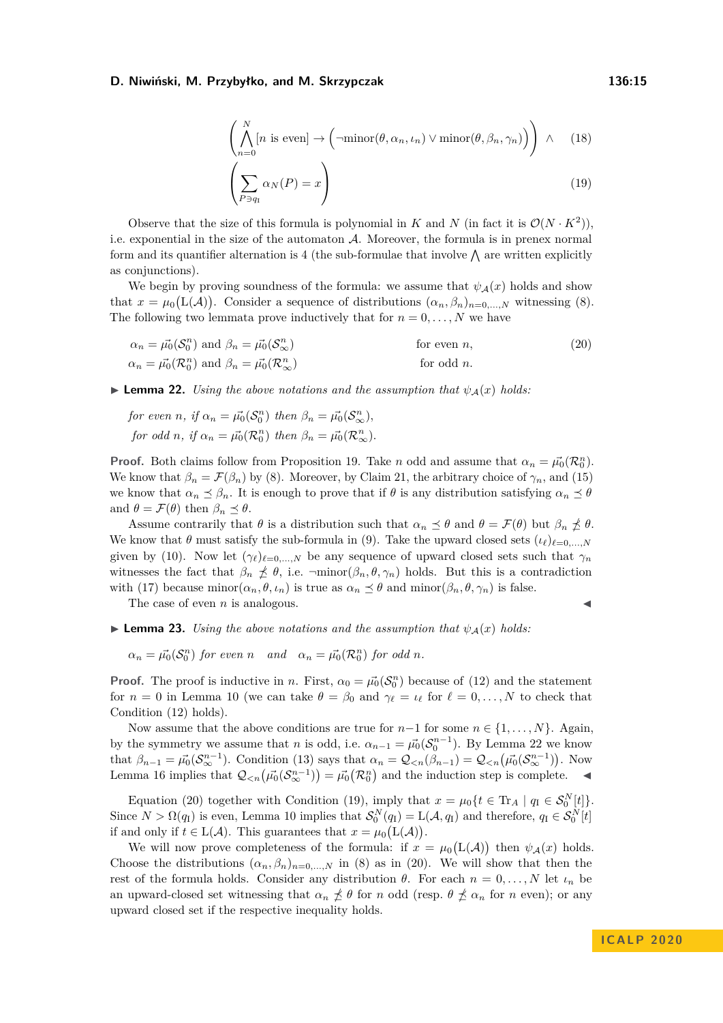<span id="page-14-3"></span>
$$
\left(\bigwedge_{n=0}^{N} [n \text{ is even}] \to \left(\neg \text{minor}(\theta, \alpha_n, \iota_n) \lor \text{minor}(\theta, \beta_n, \gamma_n)\right)\right) \land (18)
$$

<span id="page-14-2"></span>
$$
\left(\sum_{P \ni q_1} \alpha_N(P) = x\right) \tag{19}
$$

Observe that the size of this formula is polynomial in *K* and *N* (in fact it is  $\mathcal{O}(N \cdot K^2)$ ), i.e. exponential in the size of the automaton  $A$ . Moreover, the formula is in prenex normal form and its quantifier alternation is 4 (the sub-formulae that involve  $\bigwedge$  are written explicitly as conjunctions).

We begin by proving soundness of the formula: we assume that  $\psi_{\mathcal{A}}(x)$  holds and show that  $x = \mu_0(L(\mathcal{A}))$ . Consider a sequence of distributions  $(\alpha_n, \beta_n)_{n=0,\dots,N}$  witnessing [\(8\)](#page-13-1). The following two lemmata prove inductively that for  $n = 0, \ldots, N$  we have

$$
\alpha_n = \vec{\mu_0}(\mathcal{S}_0^n) \text{ and } \beta_n = \vec{\mu_0}(\mathcal{S}_{\infty}^n) \qquad \text{for even } n,
$$
  
\n
$$
\alpha_n = \vec{\mu_0}(\mathcal{R}_0^n) \text{ and } \beta_n = \vec{\mu_0}(\mathcal{R}_{\infty}^n) \qquad \text{for odd } n.
$$
\n(20)

<span id="page-14-0"></span>**Lemma 22.** *Using the above notations and the assumption that*  $\psi_{\mathcal{A}}(x)$  *holds:* 

*for even n*, *if*  $\alpha_n = \vec{\mu_0}(\mathcal{S}_0^n)$  *then*  $\beta_n = \vec{\mu_0}(\mathcal{S}_{\infty}^n)$ , *for odd n*, *if*  $\alpha_n = \vec{\mu_0}(\mathcal{R}_0^n)$  *then*  $\beta_n = \vec{\mu_0}(\mathcal{R}_{\infty}^n)$ *.* 

**Proof.** Both claims follow from Proposition [19.](#page-11-0) Take *n* odd and assume that  $\alpha_n = \vec{\mu_0}(\mathcal{R}_0^n)$ . We know that  $\beta_n = \mathcal{F}(\beta_n)$  by [\(8\)](#page-13-1). Moreover, by Claim [21,](#page-12-0) the arbitrary choice of  $\gamma_n$ , and [\(15\)](#page-13-2) we know that  $\alpha_n \preceq \beta_n$ . It is enough to prove that if  $\theta$  is any distribution satisfying  $\alpha_n \preceq \theta$ and  $\theta = \mathcal{F}(\theta)$  then  $\beta_n \preceq \theta$ .

Assume contrarily that  $\theta$  is a distribution such that  $\alpha_n \preceq \theta$  and  $\theta = \mathcal{F}(\theta)$  but  $\beta_n \npreceq \theta$ . We know that  $\theta$  must satisfy the sub-formula in [\(9\)](#page-13-3). Take the upward closed sets  $(\iota_{\ell})_{\ell=0,...,N}$ given by [\(10\)](#page-13-4). Now let  $(\gamma_\ell)_{\ell=0,\dots,N}$  be any sequence of upward closed sets such that  $\gamma_n$ witnesses the fact that  $\beta_n \nleq \theta$ , i.e.  $\lnot \text{minor}(\beta_n, \theta, \gamma_n)$  holds. But this is a contradiction with [\(17\)](#page-13-5) because minor $(\alpha_n, \theta, \iota_n)$  is true as  $\alpha_n \leq \theta$  and minor $(\beta_n, \theta, \gamma_n)$  is false.

The case of even  $n$  is analogous.

<span id="page-14-1"></span>

**Lemma 23.** *Using the above notations and the assumption that*  $\psi_{\mathcal{A}}(x)$  *holds:* 

 $\alpha_n = \overrightarrow{\mu_0}(\mathcal{S}_0^n)$  *for even n and*  $\alpha_n = \overrightarrow{\mu_0}(\mathcal{R}_0^n)$  *for odd n.* 

**Proof.** The proof is inductive in *n*. First,  $\alpha_0 = \vec{\mu_0}(\mathcal{S}_0^n)$  because of [\(12\)](#page-13-6) and the statement for  $n = 0$  in Lemma [10](#page-5-1) (we can take  $\theta = \beta_0$  and  $\gamma_\ell = \iota_\ell$  for  $\ell = 0, \ldots, N$  to check that Condition [\(12\)](#page-13-6) holds).

Now assume that the above conditions are true for  $n-1$  for some  $n \in \{1, \ldots, N\}$ . Again, by the symmetry we assume that *n* is odd, i.e.  $\alpha_{n-1} = \vec{\mu_0} (\mathcal{S}_0^{n-1})$ . By Lemma [22](#page-14-0) we know that  $\beta_{n-1} = \vec{\mu_0}(S_{\infty}^{n-1})$ . Condition [\(13\)](#page-13-7) says that  $\alpha_n = \mathcal{Q}_{\leq n}(\beta_{n-1}) = \mathcal{Q}_{\leq n}(\vec{\mu_0}(S_{\infty}^{n-1}))$ . Now Lemma [16](#page-9-0) implies that  $\mathcal{Q}_{\leq n}(\vec{\mu_0}(\mathcal{S}_{\infty}^{n-1})) = \vec{\mu_0}(\mathcal{R}_0^n)$  and the induction step is complete.

Equation [\(20\)](#page-14-1) together with Condition [\(19\)](#page-14-2), imply that  $x = \mu_0 \{ t \in \text{Tr}_A \mid q_I \in \mathcal{S}_0^N[t] \}.$ Since  $N > \Omega(q_1)$  is even, Lemma [10](#page-5-1) implies that  $\mathcal{S}_0^N(q_1) = \mathcal{L}(\mathcal{A}, q_1)$  and therefore,  $q_1 \in \mathcal{S}_0^N[t]$ if and only if  $t \in L(\mathcal{A})$ . This guarantees that  $x = \mu_0(L(\mathcal{A}))$ .

We will now prove completeness of the formula: if  $x = \mu_0(L(\mathcal{A}))$  then  $\psi_{\mathcal{A}}(x)$  holds. Choose the distributions  $(\alpha_n, \beta_n)_{n=0,\dots,N}$  in [\(8\)](#page-13-1) as in [\(20\)](#page-14-1). We will show that then the rest of the formula holds. Consider any distribution *θ*. For each  $n = 0, \ldots, N$  let  $i_n$  be an upward-closed set witnessing that  $\alpha_n \nleq \theta$  for *n* odd (resp.  $\theta \nleq \alpha_n$  for *n* even); or any upward closed set if the respective inequality holds.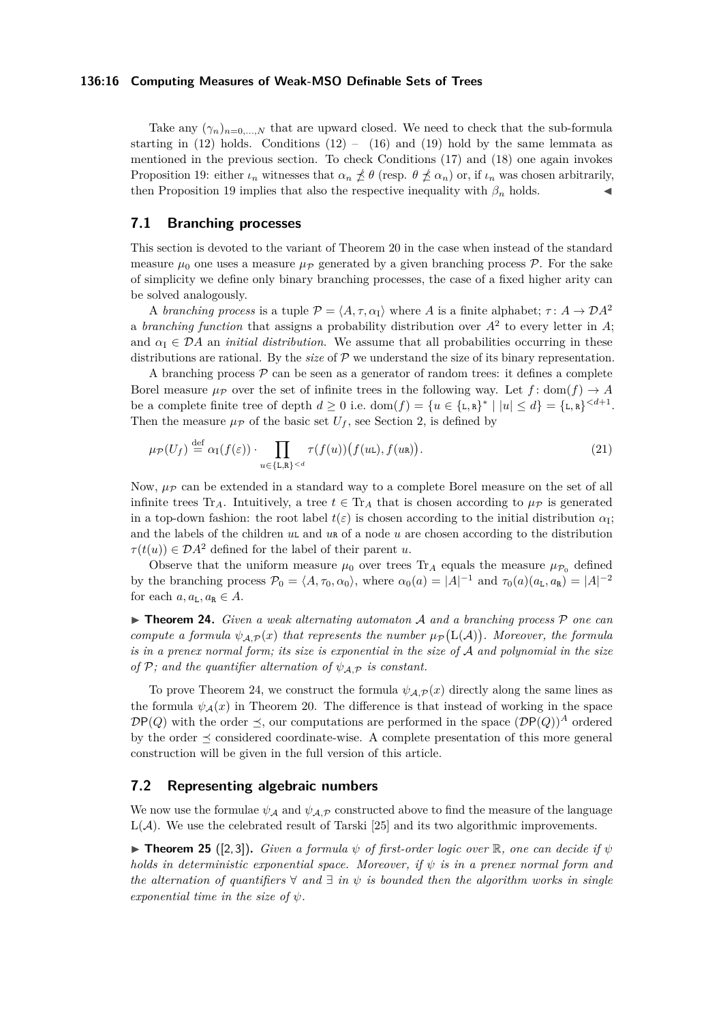## **136:16 Computing Measures of Weak-MSO Definable Sets of Trees**

Take any  $(\gamma_n)_{n=0,...,N}$  that are upward closed. We need to check that the sub-formula starting in  $(12)$  holds. Conditions  $(12) - (16)$  $(12) - (16)$  and  $(19)$  hold by the same lemmata as mentioned in the previous section. To check Conditions [\(17\)](#page-13-5) and [\(18\)](#page-14-3) one again invokes Proposition [19:](#page-11-0) either  $\iota_n$  witnesses that  $\alpha_n \nleq \theta$  (resp.  $\theta \nleq \alpha_n$ ) or, if  $\iota_n$  was chosen arbitrarily, then Proposition [19](#page-11-0) implies that also the respective inequality with  $\beta_n$  holds.

# **7.1 Branching processes**

This section is devoted to the variant of Theorem [20](#page-12-1) in the case when instead of the standard measure  $\mu_0$  one uses a measure  $\mu_p$  generated by a given branching process  $\mathcal{P}$ . For the sake of simplicity we define only binary branching processes, the case of a fixed higher arity can be solved analogously.

A *branching process* is a tuple  $P = \langle A, \tau, \alpha_I \rangle$  where *A* is a finite alphabet;  $\tau : A \to DA^2$ a *branching function* that assigns a probability distribution over  $A^2$  to every letter in  $A$ ; and  $\alpha_{\rm I} \in \mathcal{D}A$  an *initial distribution*. We assume that all probabilities occurring in these distributions are rational. By the *size* of P we understand the size of its binary representation.

A branching process  $P$  can be seen as a generator of random trees: it defines a complete Borel measure  $\mu_{\mathcal{P}}$  over the set of infinite trees in the following way. Let  $f: dom(f) \to A$ be a complete finite tree of depth  $d \geq 0$  i.e.  $\text{dom}(f) = \{u \in \{\text{L}, \text{R}\}^* \mid |u| \leq d\} = \{\text{L}, \text{R}\}^{< d+1}$ . Then the measure  $\mu_{\mathcal{P}}$  of the basic set  $U_f$ , see Section [2,](#page-2-0) is defined by

$$
\mu_{\mathcal{P}}(U_f) \stackrel{\text{def}}{=} \alpha_{\mathcal{I}}(f(\varepsilon)) \cdot \prod_{u \in \{\mathbf{L}, \mathbf{R}\} < d} \tau(f(u))\big(f(u\mathbf{L}), f(u\mathbf{R})\big). \tag{21}
$$

Now,  $\mu_{\mathcal{P}}$  can be extended in a standard way to a complete Borel measure on the set of all infinite trees Tr<sub>A</sub>. Intuitively, a tree  $t \in$  Tr<sub>A</sub> that is chosen according to  $\mu_{\mathcal{P}}$  is generated in a top-down fashion: the root label  $t(\varepsilon)$  is chosen according to the initial distribution  $\alpha_{\text{I}}$ ; and the labels of the children *u*L and *u*<sub>R</sub> of a node *u* are chosen according to the distribution  $\tau(t(u)) \in \mathcal{D}A^2$  defined for the label of their parent *u*.

Observe that the uniform measure  $\mu_0$  over trees Tr<sub>A</sub> equals the measure  $\mu_{\mathcal{P}_0}$  defined by the branching process  $\mathcal{P}_0 = \langle A, \tau_0, \alpha_0 \rangle$ , where  $\alpha_0(a) = |A|^{-1}$  and  $\tau_0(a)(a_{\text{L}}, a_{\text{R}}) = |A|^{-2}$ for each  $a, a_L, a_R \in A$ .

<span id="page-15-0"></span>I **Theorem 24.** *Given a weak alternating automaton* A *and a branching process* P *one can compute a formula*  $\psi_{\mathcal{A},\mathcal{P}}(x)$  *that represents the number*  $\mu_{\mathcal{P}}(L(\mathcal{A}))$ *. Moreover, the formula is in a prenex normal form; its size is exponential in the size of* A *and polynomial in the size of* P; and the quantifier alternation of  $\psi_{A,P}$  is constant.

To prove Theorem [24,](#page-15-0) we construct the formula  $\psi_{A,P}(x)$  directly along the same lines as the formula  $\psi_{\mathcal{A}}(x)$  in Theorem [20.](#page-12-1) The difference is that instead of working in the space  $\mathcal{D}P(Q)$  with the order  $\preceq$ , our computations are performed in the space  $(\mathcal{D}P(Q))^A$  ordered by the order  $\preceq$  considered coordinate-wise. A complete presentation of this more general construction will be given in the full version of this article.

# **7.2 Representing algebraic numbers**

We now use the formulae  $\psi_{\mathcal{A}}$  and  $\psi_{\mathcal{A},\mathcal{P}}$  constructed above to find the measure of the language  $L(\mathcal{A})$ . We use the celebrated result of Tarski [\[25\]](#page-17-19) and its two algorithmic improvements.

<span id="page-15-1"></span>**Findmergeright Theorem 25** ([\[2,](#page-16-1) [3\]](#page-17-20)), *Given a formula*  $\psi$  *of first-order logic over* R, *one can decide if*  $\psi$ *holds in deterministic exponential space. Moreover, if*  $\psi$  *is in a prenex normal form and the alternation of quantifiers*  $\forall$  *and*  $\exists$  *in*  $\psi$  *is bounded then the algorithm works in single exponential time in the size of ψ.*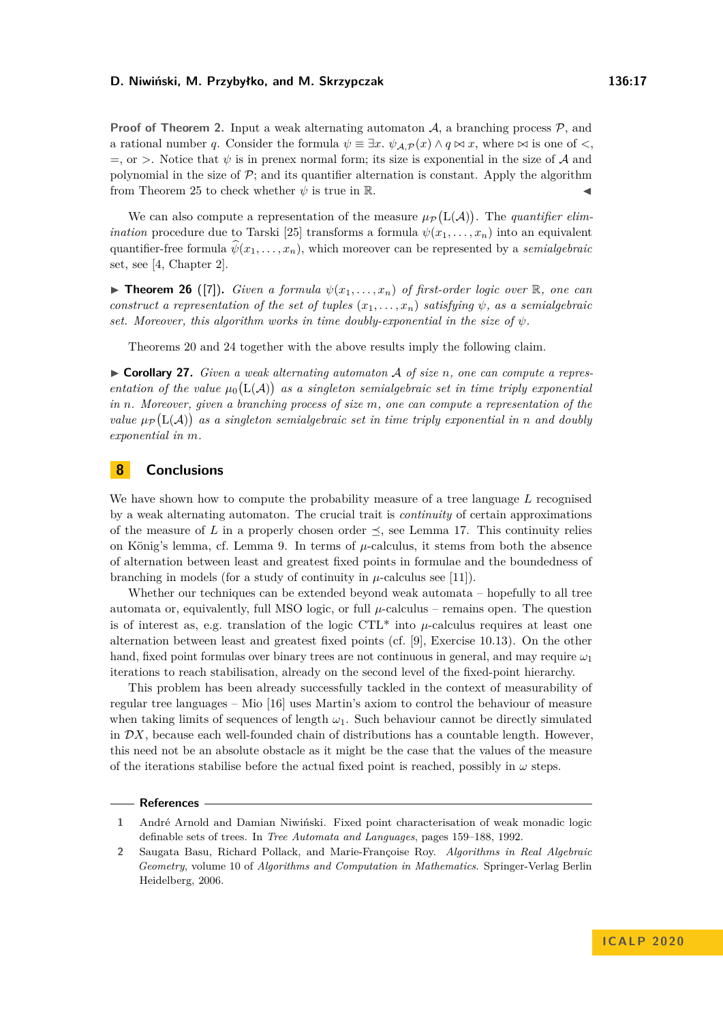**Proof of Theorem [2.](#page-1-0)** Input a weak alternating automaton  $A$ , a branching process  $P$ , and a rational number *q*. Consider the formula  $\psi \equiv \exists x \cdot \psi_{A,P}(x) \wedge q \bowtie x$ , where  $\bowtie$  is one of <  $=$ , or  $>$ . Notice that  $\psi$  is in prenex normal form; its size is exponential in the size of A and polynomial in the size of  $\mathcal{P}$ ; and its quantifier alternation is constant. Apply the algorithm from Theorem [25](#page-15-1) to check whether  $\psi$  is true in R.

We can also compute a representation of the measure  $\mu_{\mathcal{P}}(L(\mathcal{A}))$ . The *quantifier elimination* procedure due to Tarski [\[25\]](#page-17-19) transforms a formula  $\psi(x_1, \ldots, x_n)$  into an equivalent quantifier-free formula  $\psi(x_1, \ldots, x_n)$ , which moreover can be represented by a *semialgebraic* set, see [\[4,](#page-17-21) Chapter 2].

**Findment 26** ([\[7\]](#page-17-22)). *Given a formula*  $\psi(x_1, \ldots, x_n)$  *of first-order logic over* R, *one can construct a representation of the set of tuples*  $(x_1, \ldots, x_n)$  *satisfying*  $\psi$ *, as a semialgebraic set. Moreover, this algorithm works in time doubly-exponential in the size of*  $\psi$ *.* 

Theorems [20](#page-12-1) and [24](#page-15-0) together with the above results imply the following claim.

▶ **Corollary 27.** *Given a weak alternating automaton A of size n*, *one can compute a repres*entation of the value  $\mu_0(L(\mathcal{A}))$  as a singleton semialgebraic set in time triply exponential *in n. Moreover, given a branching process of size m, one can compute a representation of the value*  $\mu_{\mathcal{P}}(L(\mathcal{A}))$  as a singleton semialgebraic set in time triply exponential in n and doubly *exponential in m.*

# **8 Conclusions**

We have shown how to compute the probability measure of a tree language *L* recognised by a weak alternating automaton. The crucial trait is *continuity* of certain approximations of the measure of *L* in a properly chosen order  $\leq$ , see Lemma [17.](#page-10-1) This continuity relies on König's lemma, cf. Lemma [9.](#page-5-0) In terms of *µ*-calculus, it stems from both the absence of alternation between least and greatest fixed points in formulae and the boundedness of branching in models (for a study of continuity in  $\mu$ -calculus see [\[11\]](#page-17-23)).

Whether our techniques can be extended beyond weak automata – hopefully to all tree automata or, equivalently, full MSO logic, or full  $\mu$ -calculus – remains open. The question is of interest as, e.g. translation of the logic  $\text{CTL}^*$  into  $\mu$ -calculus requires at least one alternation between least and greatest fixed points (cf. [\[9\]](#page-17-0), Exercise 10.13). On the other hand, fixed point formulas over binary trees are not continuous in general, and may require *ω*<sup>1</sup> iterations to reach stabilisation, already on the second level of the fixed-point hierarchy.

This problem has been already successfully tackled in the context of measurability of regular tree languages – Mio [\[16\]](#page-17-13) uses Martin's axiom to control the behaviour of measure when taking limits of sequences of length  $\omega_1$ . Such behaviour cannot be directly simulated in  $\mathcal{D}X$ , because each well-founded chain of distributions has a countable length. However, this need not be an absolute obstacle as it might be the case that the values of the measure of the iterations stabilise before the actual fixed point is reached, possibly in *ω* steps.

#### **References**

<span id="page-16-0"></span>**<sup>1</sup>** André Arnold and Damian Niwiński. Fixed point characterisation of weak monadic logic definable sets of trees. In *Tree Automata and Languages*, pages 159–188, 1992.

<span id="page-16-1"></span>**<sup>2</sup>** Saugata Basu, Richard Pollack, and Marie-Françoise Roy. *Algorithms in Real Algebraic Geometry*, volume 10 of *Algorithms and Computation in Mathematics*. Springer-Verlag Berlin Heidelberg, 2006.